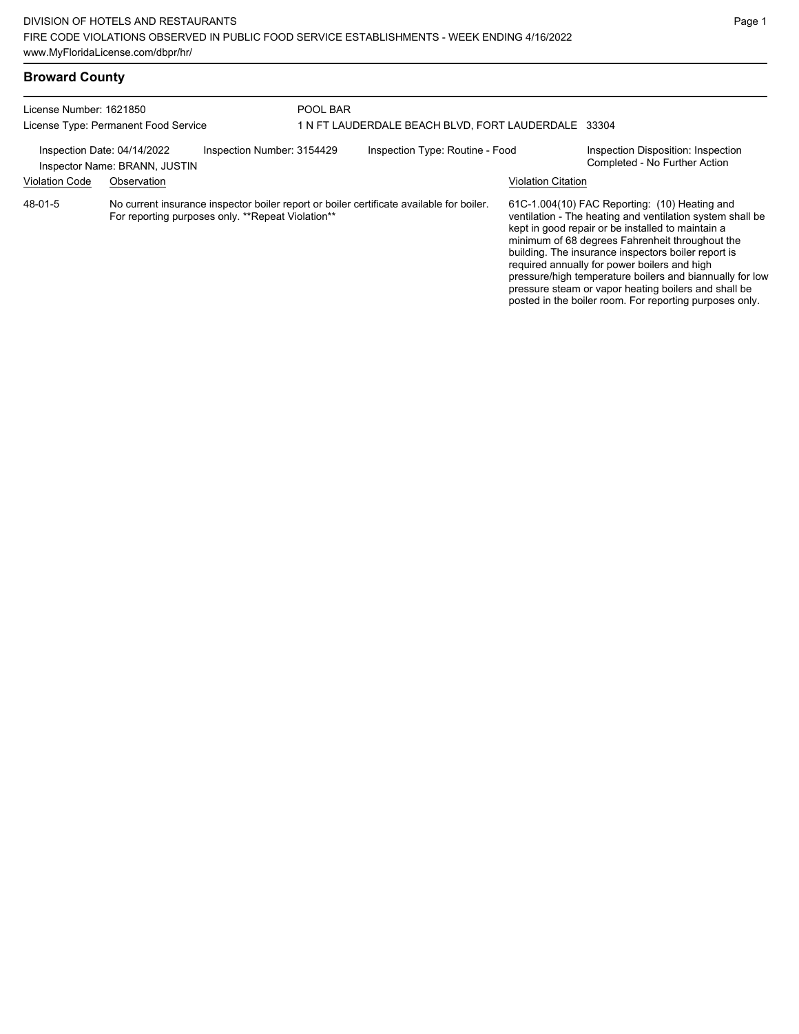| License Number: 1621850<br>License Type: Permanent Food Service                            |             |                                                   | POOL BAR<br>1 N FT LAUDERDALE BEACH BLVD, FORT LAUDERDALE 33304 |                                                                                          |                           |                                                                                                                                                                                                                                                                                                                                                                                                                                                                                                          |
|--------------------------------------------------------------------------------------------|-------------|---------------------------------------------------|-----------------------------------------------------------------|------------------------------------------------------------------------------------------|---------------------------|----------------------------------------------------------------------------------------------------------------------------------------------------------------------------------------------------------------------------------------------------------------------------------------------------------------------------------------------------------------------------------------------------------------------------------------------------------------------------------------------------------|
| Inspection Number: 3154429<br>Inspection Date: 04/14/2022<br>Inspector Name: BRANN, JUSTIN |             |                                                   |                                                                 | Inspection Type: Routine - Food                                                          |                           | Inspection Disposition: Inspection<br>Completed - No Further Action                                                                                                                                                                                                                                                                                                                                                                                                                                      |
| <b>Violation Code</b>                                                                      | Observation |                                                   |                                                                 |                                                                                          | <b>Violation Citation</b> |                                                                                                                                                                                                                                                                                                                                                                                                                                                                                                          |
| 48-01-5                                                                                    |             | For reporting purposes only. **Repeat Violation** |                                                                 | No current insurance inspector boiler report or boiler certificate available for boiler. |                           | 61C-1.004(10) FAC Reporting: (10) Heating and<br>ventilation - The heating and ventilation system shall be<br>kept in good repair or be installed to maintain a<br>minimum of 68 degrees Fahrenheit throughout the<br>building. The insurance inspectors boiler report is<br>required annually for power boilers and high<br>pressure/high temperature boilers and biannually for low<br>pressure steam or vapor heating boilers and shall be<br>posted in the boiler room. For reporting purposes only. |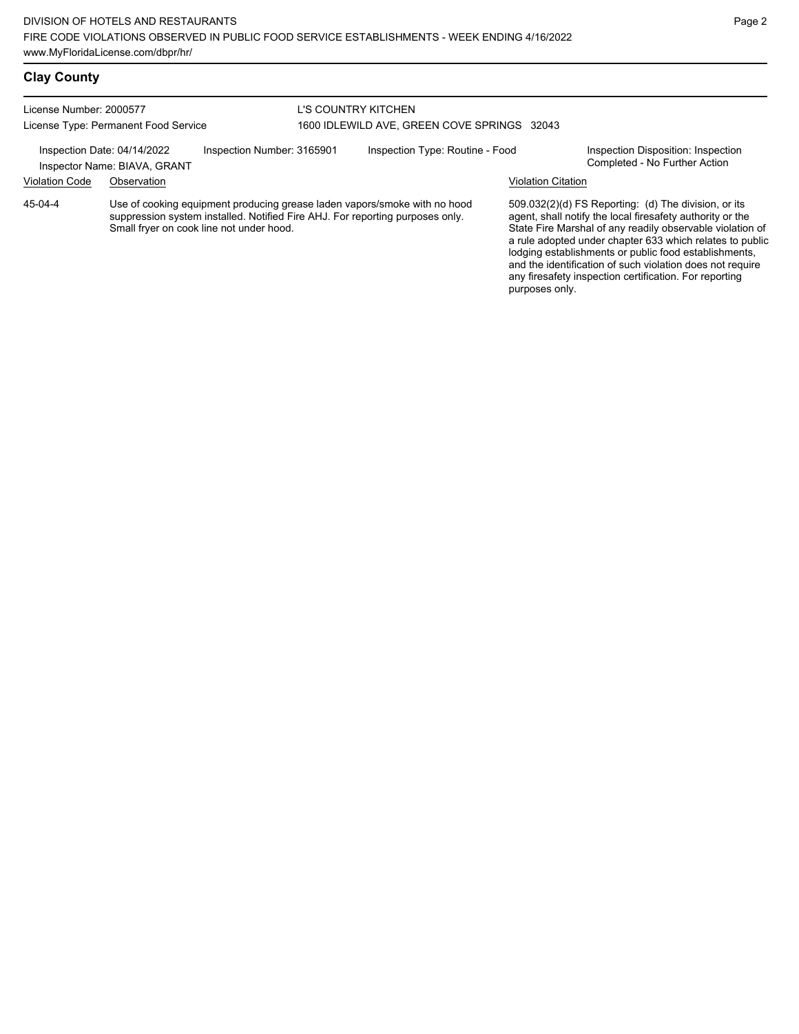#### **Clay County**

License Number: 2000577 License Type: Permanent Food Service

#### L'S COUNTRY KITCHEN 1600 IDLEWILD AVE, GREEN COVE SPRINGS 32043

Inspection Date: 04/14/2022 Inspection Number: 3165901 Inspection Type: Routine - Food Inspection Disposition: Inspection<br>Inspector Name: BIAVA GRANT

Inspector Name: BIAVA, GRANT

# Violation Code Observation Violation Citation

Use of cooking equipment producing grease laden vapors/smoke with no hood suppression system installed. Notified Fire AHJ. For reporting purposes only. Small fryer on cook line not under hood. 45-04-4

509.032(2)(d) FS Reporting: (d) The division, or its agent, shall notify the local firesafety authority or the State Fire Marshal of any readily observable violation of a rule adopted under chapter 633 which relates to public lodging establishments or public food establishments, and the identification of such violation does not require any firesafety inspection certification. For reporting purposes only.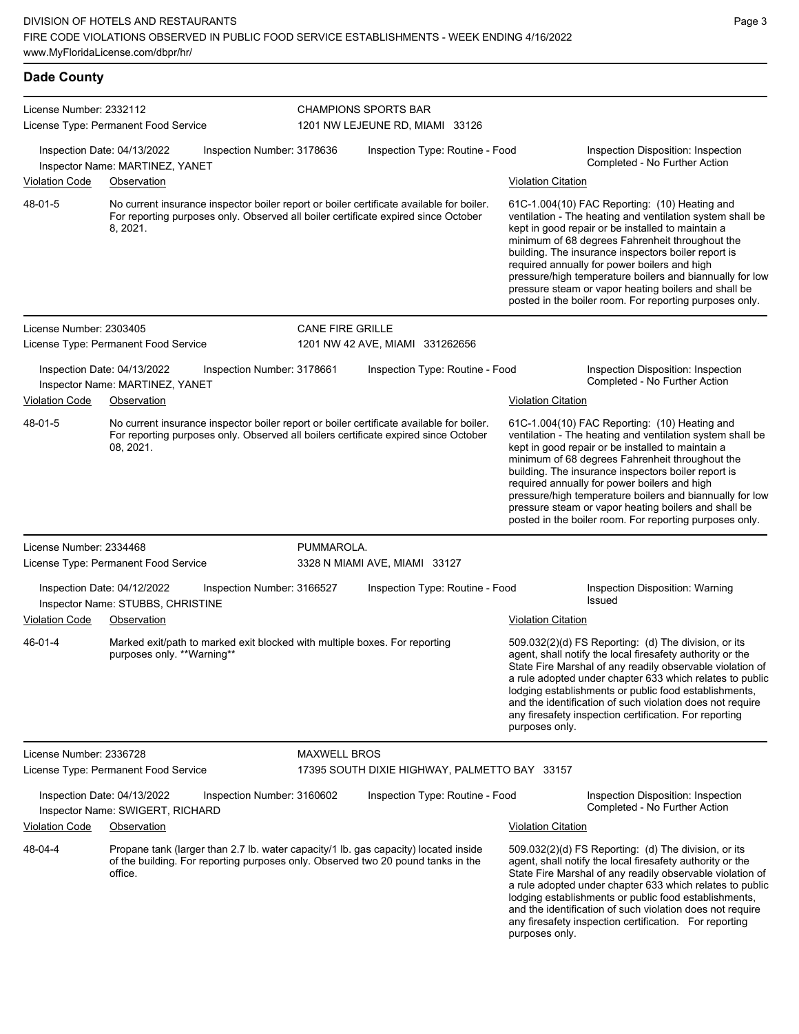| <b>Dade County</b>                                                                           |                                                                  |                                                                            |                         |                                                                                                                                                                                 |                           |                                                                                                                                                                                                                                                                                                                                                                                                                                                                                                          |
|----------------------------------------------------------------------------------------------|------------------------------------------------------------------|----------------------------------------------------------------------------|-------------------------|---------------------------------------------------------------------------------------------------------------------------------------------------------------------------------|---------------------------|----------------------------------------------------------------------------------------------------------------------------------------------------------------------------------------------------------------------------------------------------------------------------------------------------------------------------------------------------------------------------------------------------------------------------------------------------------------------------------------------------------|
| License Number: 2332112                                                                      | License Type: Permanent Food Service                             |                                                                            |                         | <b>CHAMPIONS SPORTS BAR</b><br>1201 NW LEJEUNE RD, MIAMI 33126                                                                                                                  |                           |                                                                                                                                                                                                                                                                                                                                                                                                                                                                                                          |
| Inspection Date: 04/13/2022<br>Inspection Number: 3178636<br>Inspector Name: MARTINEZ, YANET |                                                                  |                                                                            |                         | Inspection Type: Routine - Food                                                                                                                                                 |                           | Inspection Disposition: Inspection<br>Completed - No Further Action                                                                                                                                                                                                                                                                                                                                                                                                                                      |
| Violation Code                                                                               | Observation                                                      |                                                                            |                         |                                                                                                                                                                                 | <b>Violation Citation</b> |                                                                                                                                                                                                                                                                                                                                                                                                                                                                                                          |
| 48-01-5                                                                                      | 8, 2021.                                                         |                                                                            |                         | No current insurance inspector boiler report or boiler certificate available for boiler.<br>For reporting purposes only. Observed all boiler certificate expired since October  |                           | 61C-1.004(10) FAC Reporting: (10) Heating and<br>ventilation - The heating and ventilation system shall be<br>kept in good repair or be installed to maintain a<br>minimum of 68 degrees Fahrenheit throughout the<br>building. The insurance inspectors boiler report is<br>required annually for power boilers and high<br>pressure/high temperature boilers and biannually for low<br>pressure steam or vapor heating boilers and shall be<br>posted in the boiler room. For reporting purposes only. |
| License Number: 2303405                                                                      | License Type: Permanent Food Service                             |                                                                            | <b>CANE FIRE GRILLE</b> | 1201 NW 42 AVE, MIAMI 331262656                                                                                                                                                 |                           |                                                                                                                                                                                                                                                                                                                                                                                                                                                                                                          |
|                                                                                              | Inspection Date: 04/13/2022<br>Inspector Name: MARTINEZ, YANET   | Inspection Number: 3178661                                                 |                         | Inspection Type: Routine - Food                                                                                                                                                 |                           | Inspection Disposition: Inspection<br>Completed - No Further Action                                                                                                                                                                                                                                                                                                                                                                                                                                      |
| Violation Code                                                                               | Observation                                                      |                                                                            |                         |                                                                                                                                                                                 | <b>Violation Citation</b> |                                                                                                                                                                                                                                                                                                                                                                                                                                                                                                          |
| 48-01-5                                                                                      | 08, 2021.                                                        |                                                                            |                         | No current insurance inspector boiler report or boiler certificate available for boiler.<br>For reporting purposes only. Observed all boilers certificate expired since October |                           | 61C-1.004(10) FAC Reporting: (10) Heating and<br>ventilation - The heating and ventilation system shall be<br>kept in good repair or be installed to maintain a<br>minimum of 68 degrees Fahrenheit throughout the<br>building. The insurance inspectors boiler report is<br>required annually for power boilers and high<br>pressure/high temperature boilers and biannually for low<br>pressure steam or vapor heating boilers and shall be<br>posted in the boiler room. For reporting purposes only. |
| License Number: 2334468                                                                      |                                                                  |                                                                            | PUMMAROLA.              |                                                                                                                                                                                 |                           |                                                                                                                                                                                                                                                                                                                                                                                                                                                                                                          |
|                                                                                              | License Type: Permanent Food Service                             |                                                                            |                         | 3328 N MIAMI AVE, MIAMI 33127                                                                                                                                                   |                           |                                                                                                                                                                                                                                                                                                                                                                                                                                                                                                          |
|                                                                                              | Inspection Date: 04/12/2022<br>Inspector Name: STUBBS, CHRISTINE | Inspection Number: 3166527                                                 |                         | Inspection Type: Routine - Food                                                                                                                                                 |                           | Inspection Disposition: Warning<br><b>Issued</b>                                                                                                                                                                                                                                                                                                                                                                                                                                                         |
| Violation Code                                                                               | Observation                                                      |                                                                            |                         |                                                                                                                                                                                 | <b>Violation Citation</b> |                                                                                                                                                                                                                                                                                                                                                                                                                                                                                                          |
| 46-01-4                                                                                      | purposes only. **Warning**                                       | Marked exit/path to marked exit blocked with multiple boxes. For reporting |                         |                                                                                                                                                                                 | purposes only.            | 509.032(2)(d) FS Reporting: (d) The division, or its<br>agent, shall notify the local firesafety authority or the<br>State Fire Marshal of any readily observable violation of<br>a rule adopted under chapter 633 which relates to public<br>lodging establishments or public food establishments,<br>and the identification of such violation does not require<br>any firesafety inspection certification. For reporting                                                                               |
| License Number: 2336728                                                                      | License Type: Permanent Food Service                             |                                                                            | <b>MAXWELL BROS</b>     | 17395 SOUTH DIXIE HIGHWAY, PALMETTO BAY 33157                                                                                                                                   |                           |                                                                                                                                                                                                                                                                                                                                                                                                                                                                                                          |
|                                                                                              |                                                                  |                                                                            |                         |                                                                                                                                                                                 |                           |                                                                                                                                                                                                                                                                                                                                                                                                                                                                                                          |
|                                                                                              | Inspection Date: 04/13/2022<br>Inspector Name: SWIGERT, RICHARD  | Inspection Number: 3160602                                                 |                         | Inspection Type: Routine - Food                                                                                                                                                 |                           | Inspection Disposition: Inspection<br>Completed - No Further Action                                                                                                                                                                                                                                                                                                                                                                                                                                      |
| Violation Code                                                                               | Observation                                                      |                                                                            |                         |                                                                                                                                                                                 | <b>Violation Citation</b> |                                                                                                                                                                                                                                                                                                                                                                                                                                                                                                          |
| 48-04-4                                                                                      | office.                                                          |                                                                            |                         | Propane tank (larger than 2.7 lb. water capacity/1 lb. gas capacity) located inside<br>of the building. For reporting purposes only. Observed two 20 pound tanks in the         |                           | 509.032(2)(d) FS Reporting: (d) The division, or its<br>agent, shall notify the local firesafety authority or the<br>State Fire Marshal of any readily observable violation of<br>a rule adopted under chapter 633 which relates to public<br>lodging establishments or public food establishments,<br>and the identification of such violation does not require                                                                                                                                         |

any firesafety inspection certification. For reporting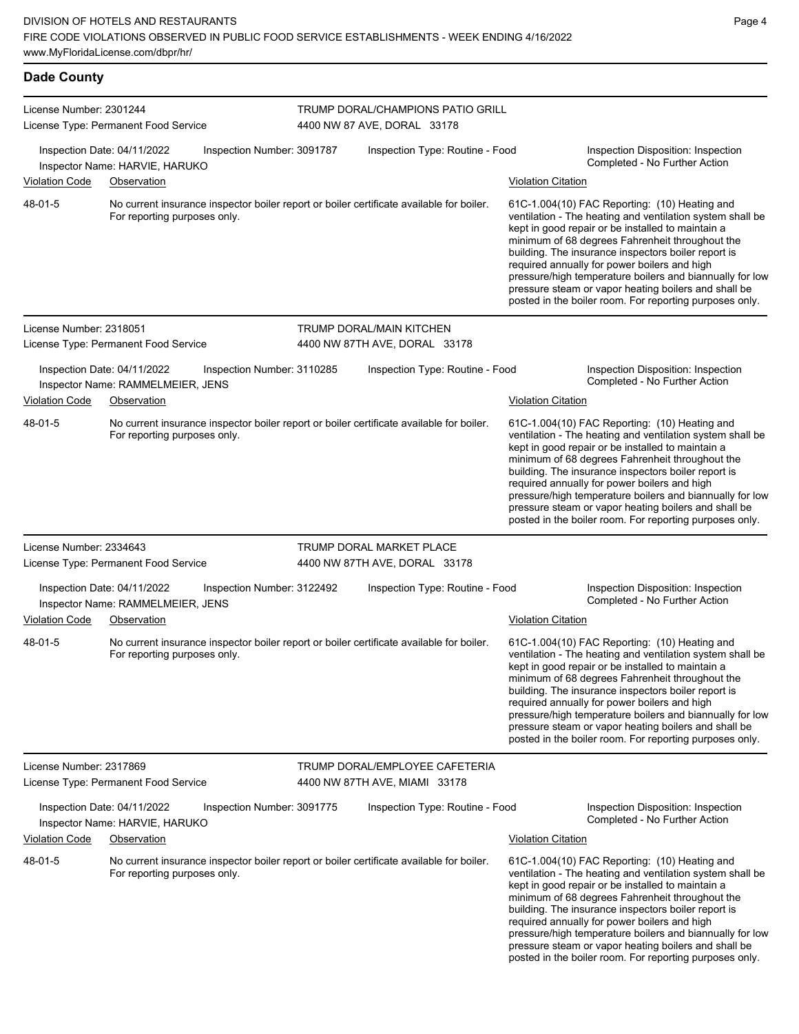| <b>Dade County</b>                                                                                                                  |                                                                                 |                            |                                                                 |                                                                                          |                                                                                                                                                                                                                                                                                                                                                                                                                                                                                                          |                                                                                                                                                                                                                                                                                                                                                                                                                                                                                                          |  |  |
|-------------------------------------------------------------------------------------------------------------------------------------|---------------------------------------------------------------------------------|----------------------------|-----------------------------------------------------------------|------------------------------------------------------------------------------------------|----------------------------------------------------------------------------------------------------------------------------------------------------------------------------------------------------------------------------------------------------------------------------------------------------------------------------------------------------------------------------------------------------------------------------------------------------------------------------------------------------------|----------------------------------------------------------------------------------------------------------------------------------------------------------------------------------------------------------------------------------------------------------------------------------------------------------------------------------------------------------------------------------------------------------------------------------------------------------------------------------------------------------|--|--|
| License Number: 2301244                                                                                                             | License Type: Permanent Food Service                                            |                            |                                                                 | TRUMP DORAL/CHAMPIONS PATIO GRILL<br>4400 NW 87 AVE, DORAL 33178                         |                                                                                                                                                                                                                                                                                                                                                                                                                                                                                                          |                                                                                                                                                                                                                                                                                                                                                                                                                                                                                                          |  |  |
| <b>Violation Code</b>                                                                                                               | Inspection Date: 04/11/2022<br>Inspector Name: HARVIE, HARUKO<br>Observation    | Inspection Number: 3091787 |                                                                 | Inspection Type: Routine - Food                                                          | <b>Violation Citation</b>                                                                                                                                                                                                                                                                                                                                                                                                                                                                                | Inspection Disposition: Inspection<br>Completed - No Further Action                                                                                                                                                                                                                                                                                                                                                                                                                                      |  |  |
| 48-01-5                                                                                                                             | For reporting purposes only.                                                    |                            |                                                                 | No current insurance inspector boiler report or boiler certificate available for boiler. | 61C-1.004(10) FAC Reporting: (10) Heating and<br>ventilation - The heating and ventilation system shall be<br>kept in good repair or be installed to maintain a<br>minimum of 68 degrees Fahrenheit throughout the<br>building. The insurance inspectors boiler report is<br>required annually for power boilers and high<br>pressure/high temperature boilers and biannually for low<br>pressure steam or vapor heating boilers and shall be<br>posted in the boiler room. For reporting purposes only. |                                                                                                                                                                                                                                                                                                                                                                                                                                                                                                          |  |  |
| License Number: 2318051<br>License Type: Permanent Food Service                                                                     |                                                                                 |                            |                                                                 | TRUMP DORAL/MAIN KITCHEN<br>4400 NW 87TH AVE, DORAL 33178                                |                                                                                                                                                                                                                                                                                                                                                                                                                                                                                                          |                                                                                                                                                                                                                                                                                                                                                                                                                                                                                                          |  |  |
| <b>Violation Code</b>                                                                                                               | Inspection Date: 04/11/2022<br>Inspector Name: RAMMELMEIER, JENS<br>Observation | Inspection Number: 3110285 |                                                                 | Inspection Type: Routine - Food                                                          | Violation Citation                                                                                                                                                                                                                                                                                                                                                                                                                                                                                       | Inspection Disposition: Inspection<br>Completed - No Further Action                                                                                                                                                                                                                                                                                                                                                                                                                                      |  |  |
| 48-01-5                                                                                                                             | For reporting purposes only.                                                    |                            |                                                                 | No current insurance inspector boiler report or boiler certificate available for boiler. | 61C-1.004(10) FAC Reporting: (10) Heating and<br>ventilation - The heating and ventilation system shall be<br>kept in good repair or be installed to maintain a<br>minimum of 68 degrees Fahrenheit throughout the<br>building. The insurance inspectors boiler report is<br>required annually for power boilers and high<br>pressure/high temperature boilers and biannually for low<br>pressure steam or vapor heating boilers and shall be<br>posted in the boiler room. For reporting purposes only. |                                                                                                                                                                                                                                                                                                                                                                                                                                                                                                          |  |  |
| License Number: 2334643                                                                                                             | License Type: Permanent Food Service                                            |                            |                                                                 | TRUMP DORAL MARKET PLACE<br>4400 NW 87TH AVE, DORAL 33178                                |                                                                                                                                                                                                                                                                                                                                                                                                                                                                                                          |                                                                                                                                                                                                                                                                                                                                                                                                                                                                                                          |  |  |
| <b>Violation Code</b>                                                                                                               | Inspection Date: 04/11/2022<br>Inspector Name: RAMMELMEIER, JENS<br>Observation | Inspection Number: 3122492 |                                                                 | Inspection Type: Routine - Food                                                          | <b>Violation Citation</b>                                                                                                                                                                                                                                                                                                                                                                                                                                                                                | Inspection Disposition: Inspection<br>Completed - No Further Action                                                                                                                                                                                                                                                                                                                                                                                                                                      |  |  |
| 48-01-5                                                                                                                             | For reporting purposes only.                                                    |                            |                                                                 | No current insurance inspector boiler report or boiler certificate available for boiler. |                                                                                                                                                                                                                                                                                                                                                                                                                                                                                                          | 61C-1.004(10) FAC Reporting: (10) Heating and<br>ventilation - The heating and ventilation system shall be<br>kept in good repair or be installed to maintain a<br>minimum of 68 degrees Fahrenheit throughout the<br>building. The insurance inspectors boiler report is<br>required annually for power boilers and high<br>pressure/high temperature boilers and biannually for low<br>pressure steam or vapor heating boilers and shall be<br>posted in the boiler room. For reporting purposes only. |  |  |
| License Number: 2317869<br>License Type: Permanent Food Service                                                                     |                                                                                 |                            | TRUMP DORAL/EMPLOYEE CAFETERIA<br>4400 NW 87TH AVE, MIAMI 33178 |                                                                                          |                                                                                                                                                                                                                                                                                                                                                                                                                                                                                                          |                                                                                                                                                                                                                                                                                                                                                                                                                                                                                                          |  |  |
| <b>Violation Code</b>                                                                                                               | Inspection Date: 04/11/2022<br>Inspector Name: HARVIE, HARUKO<br>Observation    | Inspection Number: 3091775 |                                                                 | Inspection Type: Routine - Food                                                          | <b>Violation Citation</b>                                                                                                                                                                                                                                                                                                                                                                                                                                                                                | Inspection Disposition: Inspection<br>Completed - No Further Action                                                                                                                                                                                                                                                                                                                                                                                                                                      |  |  |
| 48-01-5<br>No current insurance inspector boiler report or boiler certificate available for boiler.<br>For reporting purposes only. |                                                                                 |                            |                                                                 |                                                                                          | 61C-1.004(10) FAC Reporting: (10) Heating and<br>ventilation - The heating and ventilation system shall be<br>kept in good repair or be installed to maintain a<br>minimum of 68 degrees Fahrenheit throughout the<br>building. The insurance inspectors boiler report is<br>required annually for power boilers and high<br>pressure/high temperature boilers and hiannually for low                                                                                                                    |                                                                                                                                                                                                                                                                                                                                                                                                                                                                                                          |  |  |

pressure/high temperature boilers and biannually for low pressure steam or vapor heating boilers and shall be posted in the boiler room. For reporting purposes only.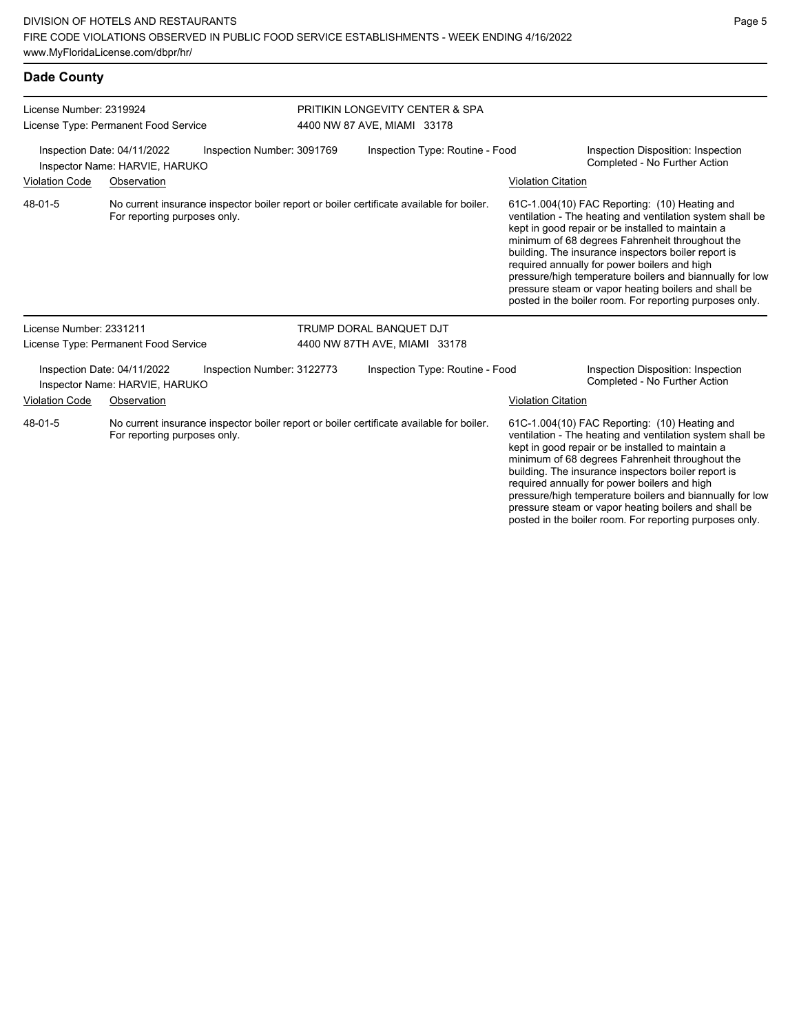| License Number: 2319924                                                                     |                                                               |                            | <b>PRITIKIN LONGEVITY CENTER &amp; SPA</b> |                                                                                          |                           |                                                                                                                                                                                                                                                                                                                                                                                                                                                                                                          |  |
|---------------------------------------------------------------------------------------------|---------------------------------------------------------------|----------------------------|--------------------------------------------|------------------------------------------------------------------------------------------|---------------------------|----------------------------------------------------------------------------------------------------------------------------------------------------------------------------------------------------------------------------------------------------------------------------------------------------------------------------------------------------------------------------------------------------------------------------------------------------------------------------------------------------------|--|
|                                                                                             | License Type: Permanent Food Service                          |                            | 4400 NW 87 AVE, MIAMI 33178                |                                                                                          |                           |                                                                                                                                                                                                                                                                                                                                                                                                                                                                                                          |  |
| Inspection Date: 04/11/2022<br>Inspection Number: 3091769<br>Inspector Name: HARVIE, HARUKO |                                                               |                            | Inspection Type: Routine - Food            |                                                                                          |                           | Inspection Disposition: Inspection<br>Completed - No Further Action                                                                                                                                                                                                                                                                                                                                                                                                                                      |  |
| <b>Violation Code</b><br>Observation                                                        |                                                               |                            |                                            |                                                                                          | <b>Violation Citation</b> |                                                                                                                                                                                                                                                                                                                                                                                                                                                                                                          |  |
| 48-01-5                                                                                     | For reporting purposes only.                                  |                            |                                            | No current insurance inspector boiler report or boiler certificate available for boiler. |                           | 61C-1.004(10) FAC Reporting: (10) Heating and<br>ventilation - The heating and ventilation system shall be<br>kept in good repair or be installed to maintain a<br>minimum of 68 degrees Fahrenheit throughout the<br>building. The insurance inspectors boiler report is<br>required annually for power boilers and high<br>pressure/high temperature boilers and biannually for low<br>pressure steam or vapor heating boilers and shall be<br>posted in the boiler room. For reporting purposes only. |  |
| License Number: 2331211                                                                     |                                                               |                            |                                            | TRUMP DORAL BANQUET DJT                                                                  |                           |                                                                                                                                                                                                                                                                                                                                                                                                                                                                                                          |  |
|                                                                                             | License Type: Permanent Food Service                          |                            | 4400 NW 87TH AVE, MIAMI 33178              |                                                                                          |                           |                                                                                                                                                                                                                                                                                                                                                                                                                                                                                                          |  |
|                                                                                             | Inspection Date: 04/11/2022<br>Inspector Name: HARVIE, HARUKO | Inspection Number: 3122773 |                                            | Inspection Type: Routine - Food                                                          |                           | Inspection Disposition: Inspection<br>Completed - No Further Action                                                                                                                                                                                                                                                                                                                                                                                                                                      |  |
| <b>Violation Code</b>                                                                       | Observation                                                   |                            |                                            |                                                                                          | <b>Violation Citation</b> |                                                                                                                                                                                                                                                                                                                                                                                                                                                                                                          |  |
| 48-01-5                                                                                     | For reporting purposes only.                                  |                            |                                            | No current insurance inspector boiler report or boiler certificate available for boiler. |                           | 61C-1.004(10) FAC Reporting: (10) Heating and<br>ventilation - The heating and ventilation system shall be<br>kept in good repair or be installed to maintain a<br>minimum of 68 degrees Fahrenheit throughout the<br>building. The insurance inspectors boiler report is<br>required annually for power boilers and high<br>pressure/high temperature boilers and biannually for low                                                                                                                    |  |

pressure steam or vapor heating boilers and shall be posted in the boiler room. For reporting purposes only.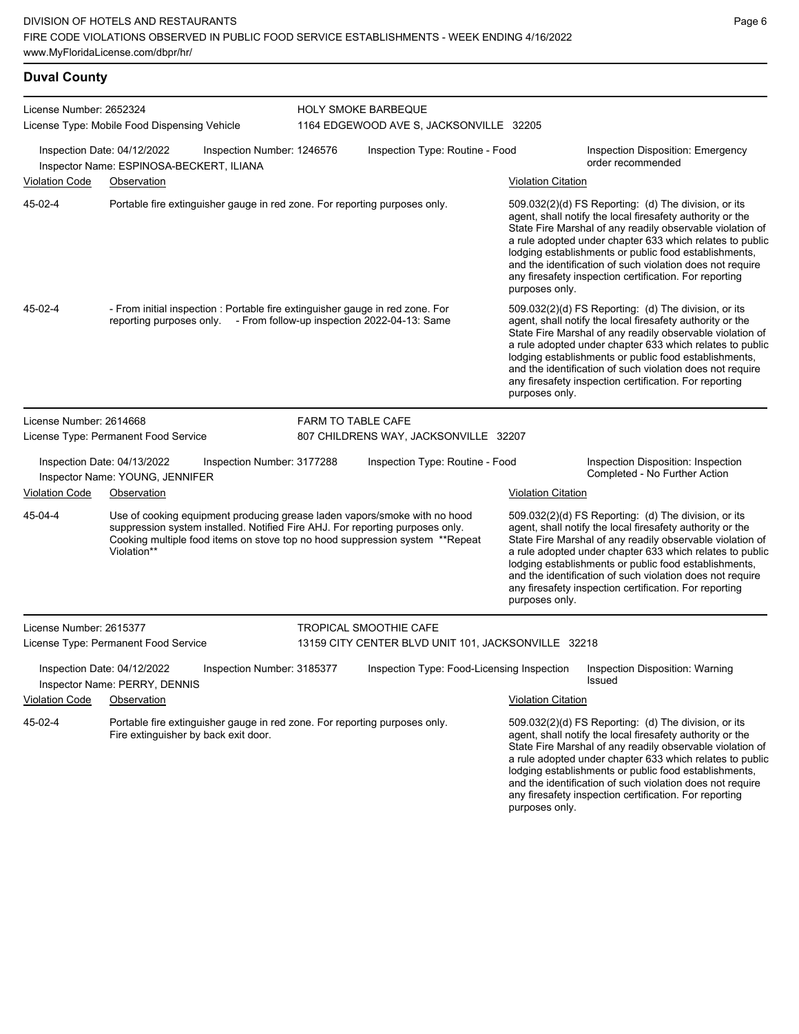## **Duval County**

| License Number: 2652324 | License Type: Mobile Food Dispensing Vehicle                                                                                                                                                                                                              |                            | <b>HOLY SMOKE BARBEQUE</b><br>1164 EDGEWOOD AVE S, JACKSONVILLE 32205 |                           |                                                                                                                                                                                                                                                                                                                                                                                                                            |
|-------------------------|-----------------------------------------------------------------------------------------------------------------------------------------------------------------------------------------------------------------------------------------------------------|----------------------------|-----------------------------------------------------------------------|---------------------------|----------------------------------------------------------------------------------------------------------------------------------------------------------------------------------------------------------------------------------------------------------------------------------------------------------------------------------------------------------------------------------------------------------------------------|
|                         | Inspection Date: 04/12/2022<br>Inspector Name: ESPINOSA-BECKERT, ILIANA                                                                                                                                                                                   | Inspection Number: 1246576 | Inspection Type: Routine - Food                                       |                           | Inspection Disposition: Emergency<br>order recommended                                                                                                                                                                                                                                                                                                                                                                     |
| <b>Violation Code</b>   | Observation                                                                                                                                                                                                                                               |                            |                                                                       | <b>Violation Citation</b> |                                                                                                                                                                                                                                                                                                                                                                                                                            |
| 45-02-4                 | Portable fire extinguisher gauge in red zone. For reporting purposes only.                                                                                                                                                                                |                            |                                                                       | purposes only.            | 509.032(2)(d) FS Reporting: (d) The division, or its<br>agent, shall notify the local firesafety authority or the<br>State Fire Marshal of any readily observable violation of<br>a rule adopted under chapter 633 which relates to public<br>lodging establishments or public food establishments,<br>and the identification of such violation does not require<br>any firesafety inspection certification. For reporting |
| 45-02-4                 | - From initial inspection : Portable fire extinguisher gauge in red zone. For<br>reporting purposes only. - From follow-up inspection 2022-04-13: Same                                                                                                    |                            |                                                                       | purposes only.            | 509.032(2)(d) FS Reporting: (d) The division, or its<br>agent, shall notify the local firesafety authority or the<br>State Fire Marshal of any readily observable violation of<br>a rule adopted under chapter 633 which relates to public<br>lodging establishments or public food establishments,<br>and the identification of such violation does not require<br>any firesafety inspection certification. For reporting |
| License Number: 2614668 |                                                                                                                                                                                                                                                           | <b>FARM TO TABLE CAFE</b>  |                                                                       |                           |                                                                                                                                                                                                                                                                                                                                                                                                                            |
|                         | License Type: Permanent Food Service                                                                                                                                                                                                                      |                            | 807 CHILDRENS WAY, JACKSONVILLE 32207                                 |                           |                                                                                                                                                                                                                                                                                                                                                                                                                            |
|                         | Inspection Date: 04/13/2022<br>Inspector Name: YOUNG, JENNIFER                                                                                                                                                                                            | Inspection Number: 3177288 | Inspection Type: Routine - Food                                       |                           | Inspection Disposition: Inspection<br>Completed - No Further Action                                                                                                                                                                                                                                                                                                                                                        |
| <b>Violation Code</b>   | Observation                                                                                                                                                                                                                                               |                            |                                                                       | <b>Violation Citation</b> |                                                                                                                                                                                                                                                                                                                                                                                                                            |
| 45-04-4                 | Use of cooking equipment producing grease laden vapors/smoke with no hood<br>suppression system installed. Notified Fire AHJ. For reporting purposes only.<br>Cooking multiple food items on stove top no hood suppression system **Repeat<br>Violation** |                            |                                                                       | purposes only.            | 509.032(2)(d) FS Reporting: (d) The division, or its<br>agent, shall notify the local firesafety authority or the<br>State Fire Marshal of any readily observable violation of<br>a rule adopted under chapter 633 which relates to public<br>lodging establishments or public food establishments,<br>and the identification of such violation does not require<br>any firesafety inspection certification. For reporting |
| License Number: 2615377 |                                                                                                                                                                                                                                                           |                            | <b>TROPICAL SMOOTHIE CAFE</b>                                         |                           |                                                                                                                                                                                                                                                                                                                                                                                                                            |
|                         | License Type: Permanent Food Service                                                                                                                                                                                                                      |                            | 13159 CITY CENTER BLVD UNIT 101, JACKSONVILLE 32218                   |                           |                                                                                                                                                                                                                                                                                                                                                                                                                            |
|                         | Inspection Date: 04/12/2022<br>Inspector Name: PERRY, DENNIS                                                                                                                                                                                              | Inspection Number: 3185377 | Inspection Type: Food-Licensing Inspection                            |                           | <b>Inspection Disposition: Warning</b><br>Issued                                                                                                                                                                                                                                                                                                                                                                           |
| <b>Violation Code</b>   | Observation                                                                                                                                                                                                                                               |                            |                                                                       | <b>Violation Citation</b> |                                                                                                                                                                                                                                                                                                                                                                                                                            |
| 45-02-4                 | Portable fire extinguisher gauge in red zone. For reporting purposes only.<br>Fire extinguisher by back exit door.                                                                                                                                        |                            |                                                                       | purposes only.            | 509.032(2)(d) FS Reporting: (d) The division, or its<br>agent, shall notify the local firesafety authority or the<br>State Fire Marshal of any readily observable violation of<br>a rule adopted under chapter 633 which relates to public<br>lodging establishments or public food establishments,<br>and the identification of such violation does not require<br>any firesafety inspection certification. For reporting |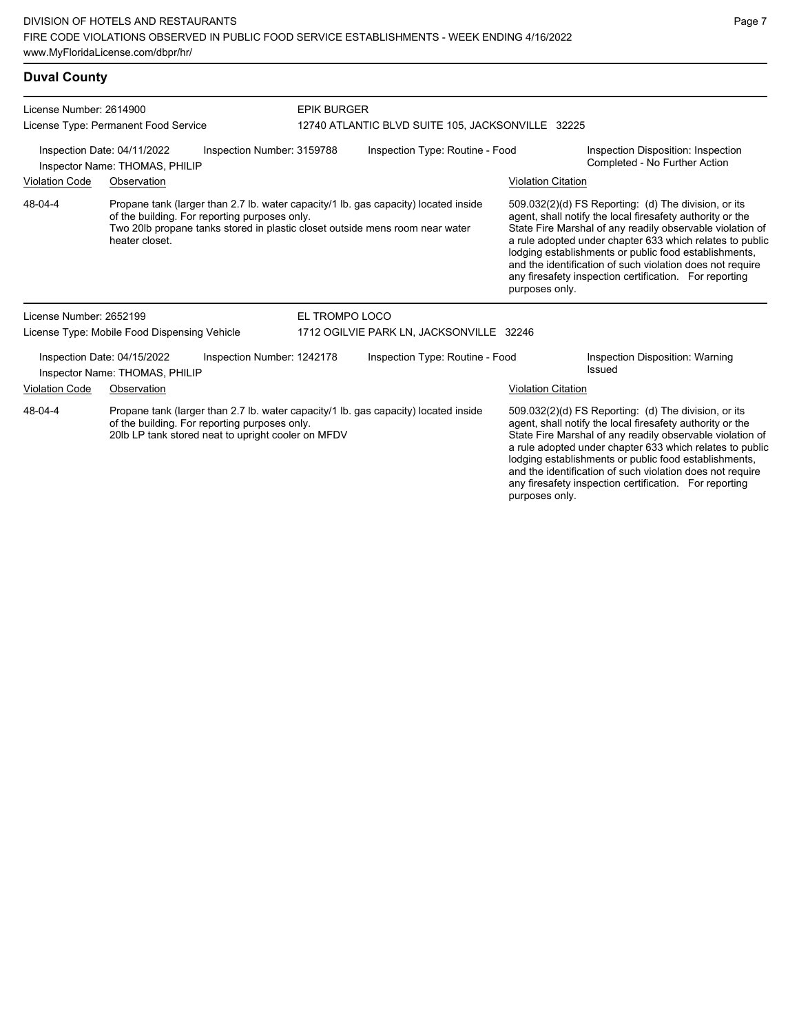## **Duval County**

| License Number: 2614900<br>License Type: Permanent Food Service<br>Inspection Date: 04/11/2022<br>Inspection Number: 3159788<br>Inspector Name: THOMAS, PHILIP                                        |                                                               |                                               |                | <b>EPIK BURGER</b><br>12740 ATLANTIC BLVD SUITE 105, JACKSONVILLE 32225                                                                                             |                                                                                                                                                                                                                                                                                                                                                                  |                                                                                                                                                                                                                                                                                                                                                                                                                            |  |  |
|-------------------------------------------------------------------------------------------------------------------------------------------------------------------------------------------------------|---------------------------------------------------------------|-----------------------------------------------|----------------|---------------------------------------------------------------------------------------------------------------------------------------------------------------------|------------------------------------------------------------------------------------------------------------------------------------------------------------------------------------------------------------------------------------------------------------------------------------------------------------------------------------------------------------------|----------------------------------------------------------------------------------------------------------------------------------------------------------------------------------------------------------------------------------------------------------------------------------------------------------------------------------------------------------------------------------------------------------------------------|--|--|
|                                                                                                                                                                                                       |                                                               |                                               |                | Inspection Type: Routine - Food                                                                                                                                     |                                                                                                                                                                                                                                                                                                                                                                  | Inspection Disposition: Inspection<br>Completed - No Further Action                                                                                                                                                                                                                                                                                                                                                        |  |  |
| <b>Violation Code</b>                                                                                                                                                                                 | Observation                                                   |                                               |                |                                                                                                                                                                     | <b>Violation Citation</b>                                                                                                                                                                                                                                                                                                                                        |                                                                                                                                                                                                                                                                                                                                                                                                                            |  |  |
| 48-04-4                                                                                                                                                                                               | heater closet.                                                | of the building. For reporting purposes only. |                | Propane tank (larger than 2.7 lb. water capacity/1 lb. gas capacity) located inside<br>Two 20lb propane tanks stored in plastic closet outside mens room near water | purposes only.                                                                                                                                                                                                                                                                                                                                                   | 509.032(2)(d) FS Reporting: (d) The division, or its<br>agent, shall notify the local firesafety authority or the<br>State Fire Marshal of any readily observable violation of<br>a rule adopted under chapter 633 which relates to public<br>lodging establishments or public food establishments,<br>and the identification of such violation does not require<br>any firesafety inspection certification. For reporting |  |  |
| License Number: 2652199                                                                                                                                                                               |                                                               |                                               | EL TROMPO LOCO |                                                                                                                                                                     |                                                                                                                                                                                                                                                                                                                                                                  |                                                                                                                                                                                                                                                                                                                                                                                                                            |  |  |
|                                                                                                                                                                                                       | License Type: Mobile Food Dispensing Vehicle                  |                                               |                | 1712 OGILVIE PARK LN, JACKSONVILLE 32246                                                                                                                            |                                                                                                                                                                                                                                                                                                                                                                  |                                                                                                                                                                                                                                                                                                                                                                                                                            |  |  |
|                                                                                                                                                                                                       | Inspection Date: 04/15/2022<br>Inspector Name: THOMAS, PHILIP | Inspection Number: 1242178                    |                | Inspection Type: Routine - Food                                                                                                                                     |                                                                                                                                                                                                                                                                                                                                                                  | Inspection Disposition: Warning<br><b>Issued</b>                                                                                                                                                                                                                                                                                                                                                                           |  |  |
| <b>Violation Code</b>                                                                                                                                                                                 | Observation                                                   |                                               |                |                                                                                                                                                                     | <b>Violation Citation</b>                                                                                                                                                                                                                                                                                                                                        |                                                                                                                                                                                                                                                                                                                                                                                                                            |  |  |
| 48-04-4<br>Propane tank (larger than 2.7 lb. water capacity/1 lb. gas capacity) located inside<br>of the building. For reporting purposes only.<br>20lb LP tank stored neat to upright cooler on MFDV |                                                               |                                               |                |                                                                                                                                                                     | 509.032(2)(d) FS Reporting: (d) The division, or its<br>agent, shall notify the local firesafety authority or the<br>State Fire Marshal of any readily observable violation of<br>a rule adopted under chapter 633 which relates to public<br>lodging establishments or public food establishments,<br>and the identification of such violation does not require |                                                                                                                                                                                                                                                                                                                                                                                                                            |  |  |

any firesafety inspection certification. For reporting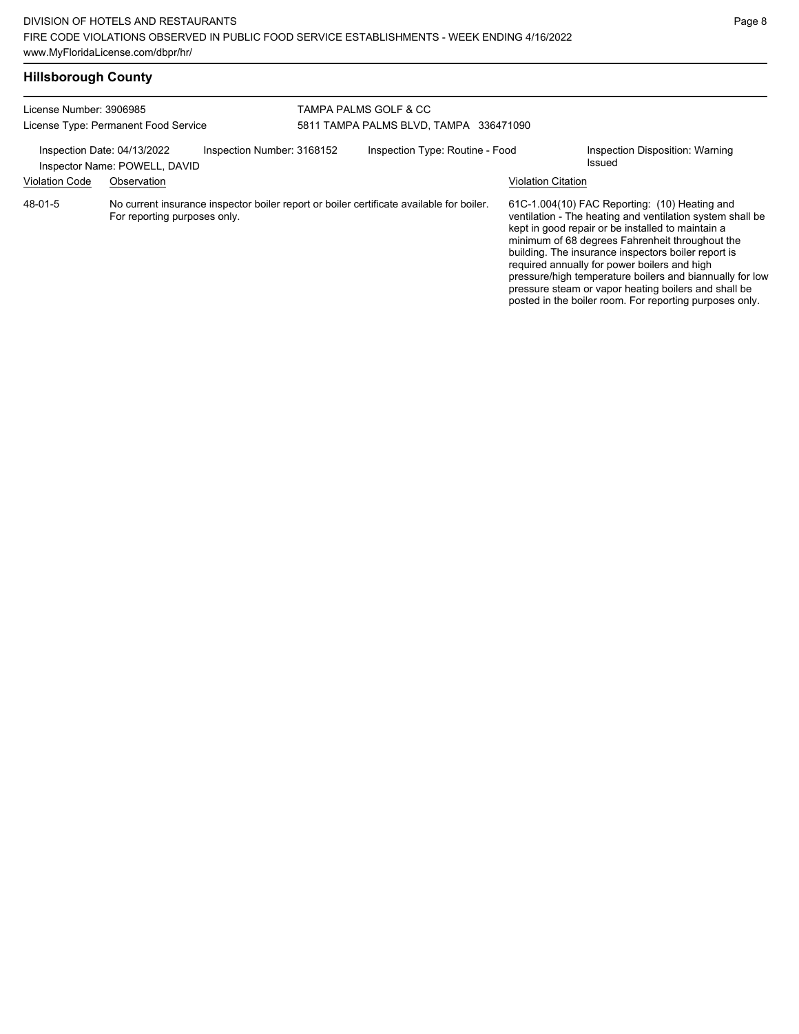| License Number: 3906985<br>License Type: Permanent Food Service                            |                              |  | <b>TAMPA PALMS GOLF &amp; CC</b><br>5811 TAMPA PALMS BLVD, TAMPA 336471090               |                           |                                                                                                                                                                                                                                                                                                                                                                                                                                                                                                          |  |  |
|--------------------------------------------------------------------------------------------|------------------------------|--|------------------------------------------------------------------------------------------|---------------------------|----------------------------------------------------------------------------------------------------------------------------------------------------------------------------------------------------------------------------------------------------------------------------------------------------------------------------------------------------------------------------------------------------------------------------------------------------------------------------------------------------------|--|--|
| Inspection Number: 3168152<br>Inspection Date: 04/13/2022<br>Inspector Name: POWELL, DAVID |                              |  | Inspection Type: Routine - Food                                                          |                           | Inspection Disposition: Warning<br>Issued                                                                                                                                                                                                                                                                                                                                                                                                                                                                |  |  |
| <b>Violation Code</b>                                                                      | Observation                  |  |                                                                                          | <b>Violation Citation</b> |                                                                                                                                                                                                                                                                                                                                                                                                                                                                                                          |  |  |
| 48-01-5                                                                                    | For reporting purposes only. |  | No current insurance inspector boiler report or boiler certificate available for boiler. |                           | 61C-1.004(10) FAC Reporting: (10) Heating and<br>ventilation - The heating and ventilation system shall be<br>kept in good repair or be installed to maintain a<br>minimum of 68 degrees Fahrenheit throughout the<br>building. The insurance inspectors boiler report is<br>required annually for power boilers and high<br>pressure/high temperature boilers and biannually for low<br>pressure steam or vapor heating boilers and shall be<br>posted in the boiler room. For reporting purposes only. |  |  |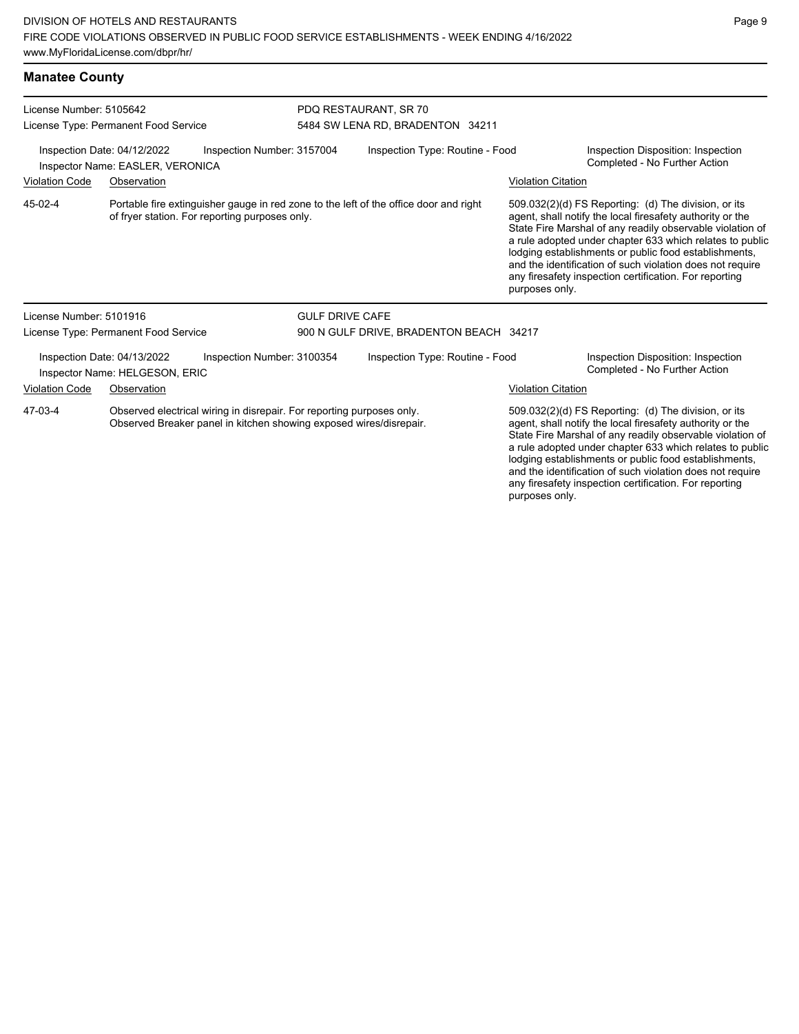| <b>Manatee County</b>                                                                                                                                  |                                      |                                                |                                                           |                                                                                       |                                                                                                                   |                                                                                                                                                                                                                                                                                                                                                                                                                            |  |
|--------------------------------------------------------------------------------------------------------------------------------------------------------|--------------------------------------|------------------------------------------------|-----------------------------------------------------------|---------------------------------------------------------------------------------------|-------------------------------------------------------------------------------------------------------------------|----------------------------------------------------------------------------------------------------------------------------------------------------------------------------------------------------------------------------------------------------------------------------------------------------------------------------------------------------------------------------------------------------------------------------|--|
| License Number: 5105642<br>License Type: Permanent Food Service                                                                                        |                                      |                                                | PDQ RESTAURANT, SR 70<br>5484 SW LENA RD, BRADENTON 34211 |                                                                                       |                                                                                                                   |                                                                                                                                                                                                                                                                                                                                                                                                                            |  |
| Inspection Date: 04/12/2022<br>Inspection Number: 3157004<br>Inspector Name: EASLER, VERONICA                                                          |                                      |                                                | Inspection Type: Routine - Food                           |                                                                                       |                                                                                                                   | Inspection Disposition: Inspection<br>Completed - No Further Action                                                                                                                                                                                                                                                                                                                                                        |  |
| <b>Violation Code</b><br>Observation                                                                                                                   |                                      |                                                |                                                           |                                                                                       | <b>Violation Citation</b>                                                                                         |                                                                                                                                                                                                                                                                                                                                                                                                                            |  |
| 45-02-4                                                                                                                                                |                                      | of fryer station. For reporting purposes only. |                                                           | Portable fire extinguisher gauge in red zone to the left of the office door and right | purposes only.                                                                                                    | 509.032(2)(d) FS Reporting: (d) The division, or its<br>agent, shall notify the local firesafety authority or the<br>State Fire Marshal of any readily observable violation of<br>a rule adopted under chapter 633 which relates to public<br>lodging establishments or public food establishments,<br>and the identification of such violation does not require<br>any firesafety inspection certification. For reporting |  |
| License Number: 5101916                                                                                                                                |                                      |                                                | <b>GULF DRIVE CAFE</b>                                    |                                                                                       |                                                                                                                   |                                                                                                                                                                                                                                                                                                                                                                                                                            |  |
|                                                                                                                                                        | License Type: Permanent Food Service |                                                |                                                           | 900 N GULF DRIVE, BRADENTON BEACH 34217                                               |                                                                                                                   |                                                                                                                                                                                                                                                                                                                                                                                                                            |  |
| Inspection Number: 3100354<br>Inspection Date: 04/13/2022<br>Inspector Name: HELGESON, ERIC                                                            |                                      |                                                | Inspection Type: Routine - Food                           |                                                                                       |                                                                                                                   | Inspection Disposition: Inspection<br>Completed - No Further Action                                                                                                                                                                                                                                                                                                                                                        |  |
| <b>Violation Code</b>                                                                                                                                  | Observation                          |                                                |                                                           |                                                                                       | <b>Violation Citation</b>                                                                                         |                                                                                                                                                                                                                                                                                                                                                                                                                            |  |
| Observed electrical wiring in disrepair. For reporting purposes only.<br>47-03-4<br>Observed Breaker panel in kitchen showing exposed wires/disrepair. |                                      |                                                |                                                           |                                                                                       | 509.032(2)(d) FS Reporting: (d) The division, or its<br>agent, shall notify the local firesafety authority or the |                                                                                                                                                                                                                                                                                                                                                                                                                            |  |

State Fire Marshal of any readily observable violation of a rule adopted under chapter 633 which relates to public lodging establishments or public food establishments, and the identification of such violation does not require any firesafety inspection certification. For reporting purposes only.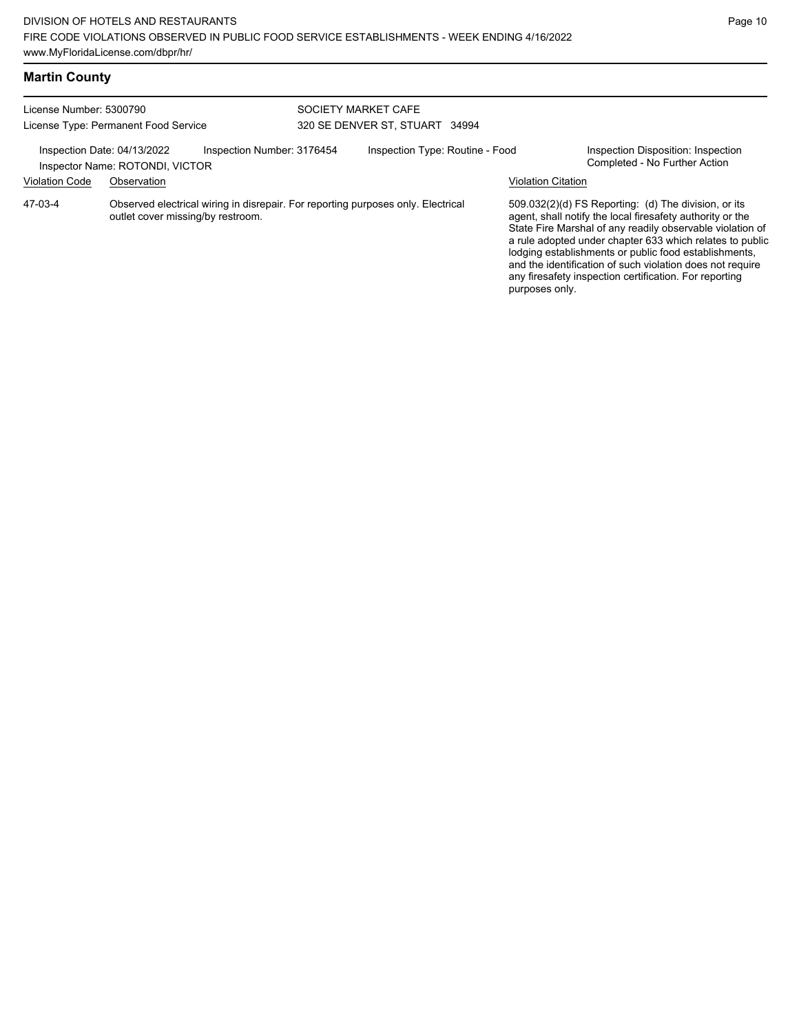| License Number: 5300790<br>License Type: Permanent Food Service                              |                                   |  | SOCIETY MARKET CAFE<br>320 SE DENVER ST, STUART 34994 |                                                                                  |                                                                     |                                                                                                                                                                                                                                                                                                                                                                                                                            |
|----------------------------------------------------------------------------------------------|-----------------------------------|--|-------------------------------------------------------|----------------------------------------------------------------------------------|---------------------------------------------------------------------|----------------------------------------------------------------------------------------------------------------------------------------------------------------------------------------------------------------------------------------------------------------------------------------------------------------------------------------------------------------------------------------------------------------------------|
| Inspection Number: 3176454<br>Inspection Date: 04/13/2022<br>Inspector Name: ROTONDI, VICTOR |                                   |  | Inspection Type: Routine - Food                       |                                                                                  | Inspection Disposition: Inspection<br>Completed - No Further Action |                                                                                                                                                                                                                                                                                                                                                                                                                            |
| <b>Violation Code</b>                                                                        | Observation                       |  |                                                       |                                                                                  | <b>Violation Citation</b>                                           |                                                                                                                                                                                                                                                                                                                                                                                                                            |
| 47-03-4                                                                                      | outlet cover missing/by restroom. |  |                                                       | Observed electrical wiring in disrepair. For reporting purposes only. Electrical | purposes only.                                                      | 509.032(2)(d) FS Reporting: (d) The division, or its<br>agent, shall notify the local firesafety authority or the<br>State Fire Marshal of any readily observable violation of<br>a rule adopted under chapter 633 which relates to public<br>lodging establishments or public food establishments,<br>and the identification of such violation does not require<br>any firesafety inspection certification. For reporting |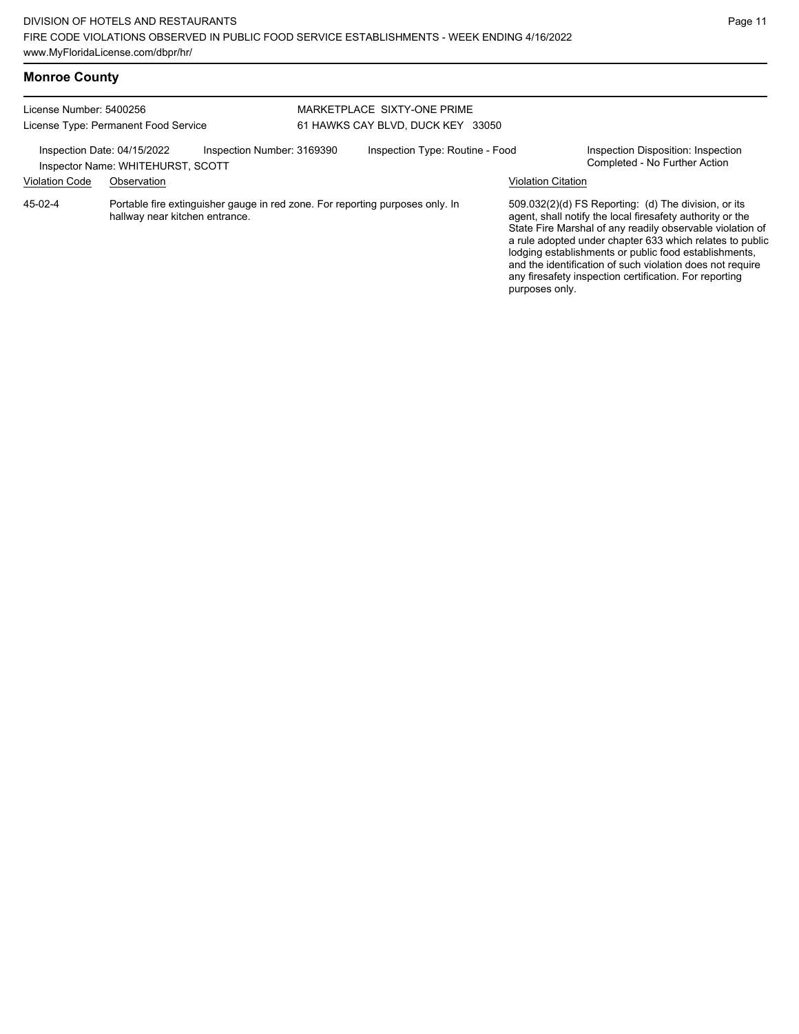| License Number: 5400256<br>License Type: Permanent Food Service                                |                                |                                                                               |                                 | MARKETPLACE SIXTY-ONE PRIME       |                           |                                                                                                                                                                                                                                                                                                                                                                                                                            |  |  |
|------------------------------------------------------------------------------------------------|--------------------------------|-------------------------------------------------------------------------------|---------------------------------|-----------------------------------|---------------------------|----------------------------------------------------------------------------------------------------------------------------------------------------------------------------------------------------------------------------------------------------------------------------------------------------------------------------------------------------------------------------------------------------------------------------|--|--|
|                                                                                                |                                |                                                                               |                                 | 61 HAWKS CAY BLVD, DUCK KEY 33050 |                           |                                                                                                                                                                                                                                                                                                                                                                                                                            |  |  |
| Inspection Number: 3169390<br>Inspection Date: 04/15/2022<br>Inspector Name: WHITEHURST, SCOTT |                                |                                                                               | Inspection Type: Routine - Food |                                   |                           | Inspection Disposition: Inspection<br>Completed - No Further Action                                                                                                                                                                                                                                                                                                                                                        |  |  |
| <b>Violation Code</b>                                                                          | Observation                    |                                                                               |                                 |                                   | <b>Violation Citation</b> |                                                                                                                                                                                                                                                                                                                                                                                                                            |  |  |
| $45-02-4$                                                                                      | hallway near kitchen entrance. | Portable fire extinguisher gauge in red zone. For reporting purposes only. In |                                 |                                   | purposes only.            | 509.032(2)(d) FS Reporting: (d) The division, or its<br>agent, shall notify the local firesafety authority or the<br>State Fire Marshal of any readily observable violation of<br>a rule adopted under chapter 633 which relates to public<br>lodging establishments or public food establishments,<br>and the identification of such violation does not require<br>any firesafety inspection certification. For reporting |  |  |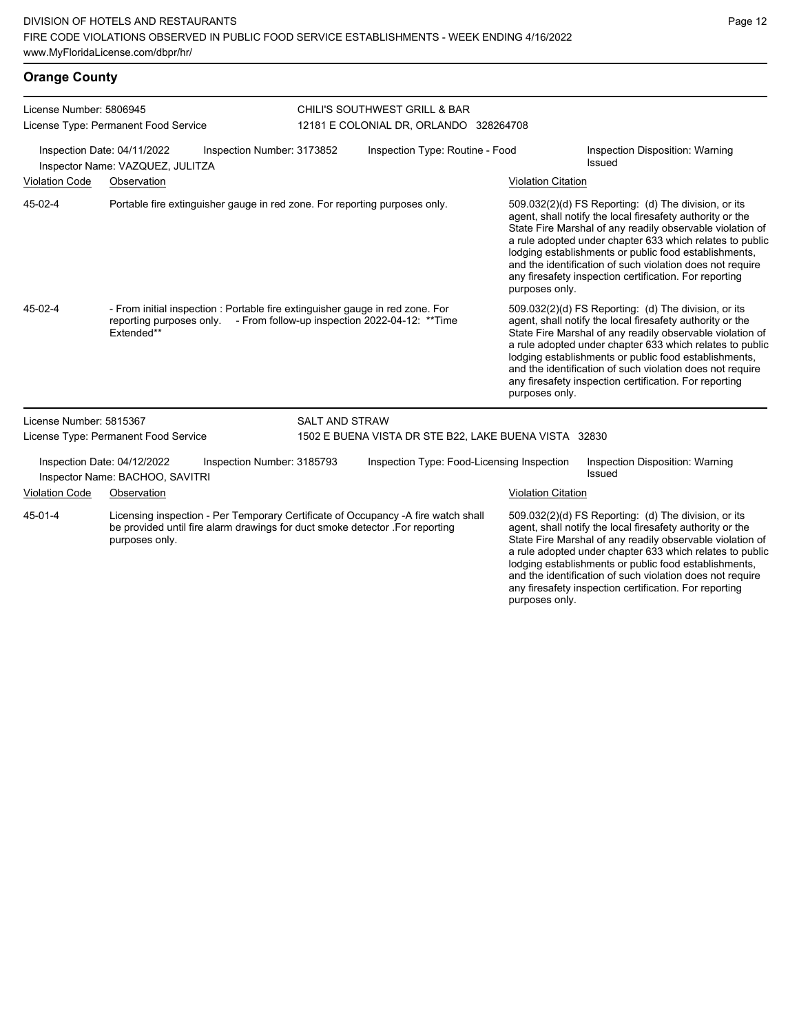| <b>Orange County</b>                                            |                                                                                                                                                                                     |                                                 |                                                       |                           |                                                                                                                                                                                                                                                                                                                                                                                                                            |  |  |  |
|-----------------------------------------------------------------|-------------------------------------------------------------------------------------------------------------------------------------------------------------------------------------|-------------------------------------------------|-------------------------------------------------------|---------------------------|----------------------------------------------------------------------------------------------------------------------------------------------------------------------------------------------------------------------------------------------------------------------------------------------------------------------------------------------------------------------------------------------------------------------------|--|--|--|
| License Number: 5806945                                         |                                                                                                                                                                                     |                                                 | CHILI'S SOUTHWEST GRILL & BAR                         |                           |                                                                                                                                                                                                                                                                                                                                                                                                                            |  |  |  |
|                                                                 | License Type: Permanent Food Service                                                                                                                                                |                                                 | 12181 E COLONIAL DR, ORLANDO 328264708                |                           |                                                                                                                                                                                                                                                                                                                                                                                                                            |  |  |  |
| Inspection Date: 04/11/2022<br>Inspector Name: VAZQUEZ, JULITZA |                                                                                                                                                                                     | Inspection Number: 3173852                      | Inspection Type: Routine - Food                       |                           | Inspection Disposition: Warning<br>Issued                                                                                                                                                                                                                                                                                                                                                                                  |  |  |  |
| <b>Violation Code</b>                                           | Observation                                                                                                                                                                         |                                                 |                                                       | <b>Violation Citation</b> |                                                                                                                                                                                                                                                                                                                                                                                                                            |  |  |  |
| 45-02-4                                                         | Portable fire extinguisher gauge in red zone. For reporting purposes only.                                                                                                          |                                                 |                                                       | purposes only.            | 509.032(2)(d) FS Reporting: (d) The division, or its<br>agent, shall notify the local firesafety authority or the<br>State Fire Marshal of any readily observable violation of<br>a rule adopted under chapter 633 which relates to public<br>lodging establishments or public food establishments,<br>and the identification of such violation does not require<br>any firesafety inspection certification. For reporting |  |  |  |
| 45-02-4                                                         | - From initial inspection : Portable fire extinguisher gauge in red zone. For<br>reporting purposes only.<br>Extended**                                                             | - From follow-up inspection 2022-04-12: ** Time |                                                       | purposes only.            | 509.032(2)(d) FS Reporting: (d) The division, or its<br>agent, shall notify the local firesafety authority or the<br>State Fire Marshal of any readily observable violation of<br>a rule adopted under chapter 633 which relates to public<br>lodging establishments or public food establishments,<br>and the identification of such violation does not require<br>any firesafety inspection certification. For reporting |  |  |  |
| License Number: 5815367                                         |                                                                                                                                                                                     | <b>SALT AND STRAW</b>                           |                                                       |                           |                                                                                                                                                                                                                                                                                                                                                                                                                            |  |  |  |
|                                                                 | License Type: Permanent Food Service                                                                                                                                                |                                                 | 1502 E BUENA VISTA DR STE B22, LAKE BUENA VISTA 32830 |                           |                                                                                                                                                                                                                                                                                                                                                                                                                            |  |  |  |
|                                                                 | Inspection Date: 04/12/2022<br>Inspector Name: BACHOO, SAVITRI                                                                                                                      | Inspection Number: 3185793                      | Inspection Type: Food-Licensing Inspection            |                           | Inspection Disposition: Warning<br>Issued                                                                                                                                                                                                                                                                                                                                                                                  |  |  |  |
| <b>Violation Code</b>                                           | Observation                                                                                                                                                                         |                                                 | <b>Violation Citation</b>                             |                           |                                                                                                                                                                                                                                                                                                                                                                                                                            |  |  |  |
| 45-01-4                                                         | Licensing inspection - Per Temporary Certificate of Occupancy -A fire watch shall<br>be provided until fire alarm drawings for duct smoke detector .For reporting<br>purposes only. |                                                 |                                                       | purposes only.            | 509.032(2)(d) FS Reporting: (d) The division, or its<br>agent, shall notify the local firesafety authority or the<br>State Fire Marshal of any readily observable violation of<br>a rule adopted under chapter 633 which relates to public<br>lodging establishments or public food establishments,<br>and the identification of such violation does not require<br>any firesafety inspection certification. For reporting |  |  |  |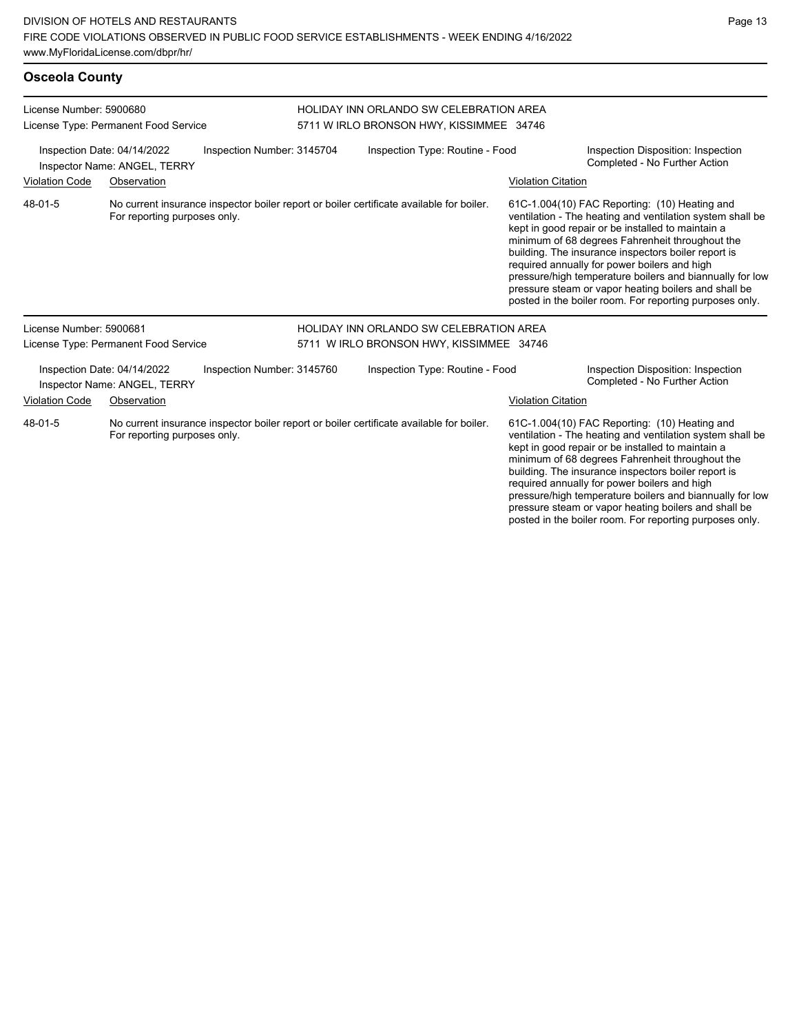| <b>Osceola County</b>                                                                                                                                        |                                                                                                                          |  |                                                                                            |                                                                                                                                                                                                                                                                                                                                                                                                                                                                                                          |                                                                     |                                                                                                                                                                                                                                                                           |  |
|--------------------------------------------------------------------------------------------------------------------------------------------------------------|--------------------------------------------------------------------------------------------------------------------------|--|--------------------------------------------------------------------------------------------|----------------------------------------------------------------------------------------------------------------------------------------------------------------------------------------------------------------------------------------------------------------------------------------------------------------------------------------------------------------------------------------------------------------------------------------------------------------------------------------------------------|---------------------------------------------------------------------|---------------------------------------------------------------------------------------------------------------------------------------------------------------------------------------------------------------------------------------------------------------------------|--|
| License Number: 5900680<br>License Type: Permanent Food Service<br>Inspection Number: 3145704<br>Inspection Date: 04/14/2022<br>Inspector Name: ANGEL, TERRY |                                                                                                                          |  | <b>HOLIDAY INN ORLANDO SW CELEBRATION AREA</b><br>5711 W IRLO BRONSON HWY, KISSIMMEE 34746 |                                                                                                                                                                                                                                                                                                                                                                                                                                                                                                          |                                                                     |                                                                                                                                                                                                                                                                           |  |
|                                                                                                                                                              |                                                                                                                          |  | Inspection Type: Routine - Food                                                            |                                                                                                                                                                                                                                                                                                                                                                                                                                                                                                          | Inspection Disposition: Inspection<br>Completed - No Further Action |                                                                                                                                                                                                                                                                           |  |
| <b>Violation Code</b>                                                                                                                                        | Observation                                                                                                              |  |                                                                                            |                                                                                                                                                                                                                                                                                                                                                                                                                                                                                                          | <b>Violation Citation</b>                                           |                                                                                                                                                                                                                                                                           |  |
| 48-01-5                                                                                                                                                      | No current insurance inspector boiler report or boiler certificate available for boiler.<br>For reporting purposes only. |  |                                                                                            | 61C-1.004(10) FAC Reporting: (10) Heating and<br>ventilation - The heating and ventilation system shall be<br>kept in good repair or be installed to maintain a<br>minimum of 68 degrees Fahrenheit throughout the<br>building. The insurance inspectors boiler report is<br>required annually for power boilers and high<br>pressure/high temperature boilers and biannually for low<br>pressure steam or vapor heating boilers and shall be<br>posted in the boiler room. For reporting purposes only. |                                                                     |                                                                                                                                                                                                                                                                           |  |
| License Number: 5900681                                                                                                                                      |                                                                                                                          |  |                                                                                            | <b>HOLIDAY INN ORLANDO SW CELEBRATION AREA</b>                                                                                                                                                                                                                                                                                                                                                                                                                                                           |                                                                     |                                                                                                                                                                                                                                                                           |  |
|                                                                                                                                                              | License Type: Permanent Food Service                                                                                     |  |                                                                                            | 5711 W IRLO BRONSON HWY, KISSIMMEE 34746                                                                                                                                                                                                                                                                                                                                                                                                                                                                 |                                                                     |                                                                                                                                                                                                                                                                           |  |
| Inspection Number: 3145760<br>Inspection Date: 04/14/2022<br>Inspector Name: ANGEL, TERRY                                                                    |                                                                                                                          |  |                                                                                            | Inspection Type: Routine - Food                                                                                                                                                                                                                                                                                                                                                                                                                                                                          |                                                                     | Inspection Disposition: Inspection<br>Completed - No Further Action                                                                                                                                                                                                       |  |
| <b>Violation Code</b><br>Observation                                                                                                                         |                                                                                                                          |  |                                                                                            |                                                                                                                                                                                                                                                                                                                                                                                                                                                                                                          | <b>Violation Citation</b>                                           |                                                                                                                                                                                                                                                                           |  |
| 48-01-5                                                                                                                                                      | For reporting purposes only.                                                                                             |  |                                                                                            | No current insurance inspector boiler report or boiler certificate available for boiler.                                                                                                                                                                                                                                                                                                                                                                                                                 |                                                                     | 61C-1.004(10) FAC Reporting: (10) Heating and<br>ventilation - The heating and ventilation system shall be<br>kept in good repair or be installed to maintain a<br>minimum of 68 degrees Fahrenheit throughout the<br>building. The insurance inspectors boiler report is |  |

required annually for power boilers and high

pressure/high temperature boilers and biannually for low pressure steam or vapor heating boilers and shall be posted in the boiler room. For reporting purposes only.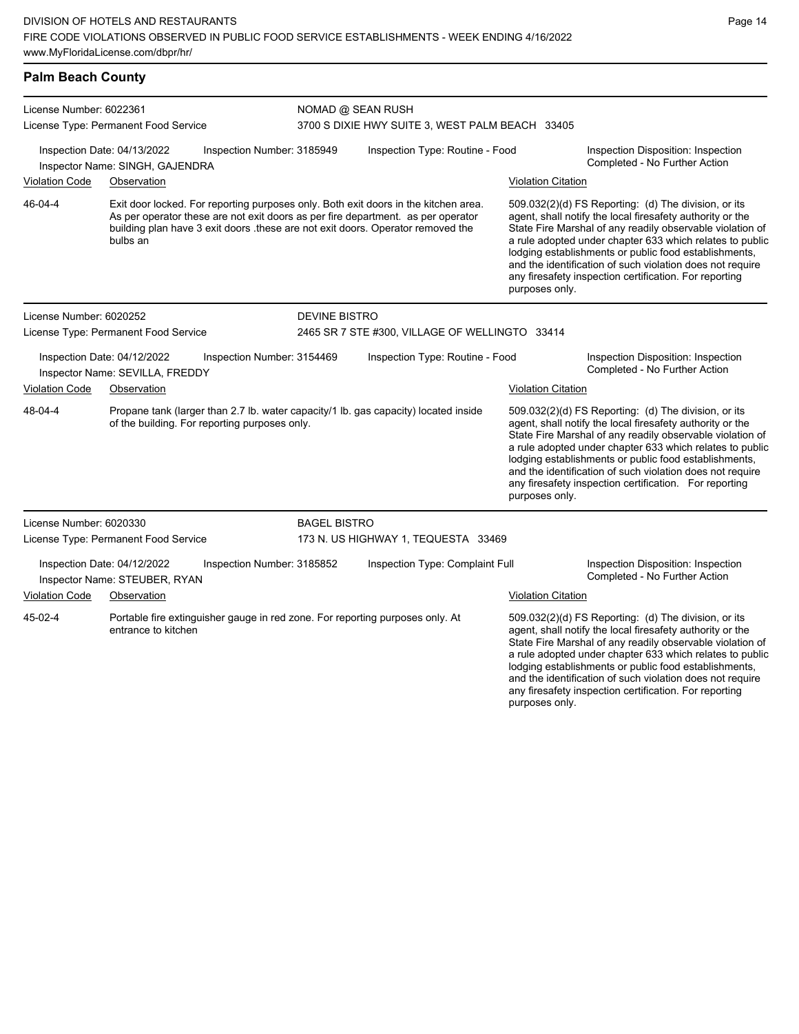## **Palm Beach County**

| License Number: 6022361 |                                                                                                                                      |                            | NOMAD @ SEAN RUSH                                                                                                                                                                                                                                         |                           |                                                                                                                                                                                                                                                                                                                                                                                                                                              |  |  |  |
|-------------------------|--------------------------------------------------------------------------------------------------------------------------------------|----------------------------|-----------------------------------------------------------------------------------------------------------------------------------------------------------------------------------------------------------------------------------------------------------|---------------------------|----------------------------------------------------------------------------------------------------------------------------------------------------------------------------------------------------------------------------------------------------------------------------------------------------------------------------------------------------------------------------------------------------------------------------------------------|--|--|--|
|                         | License Type: Permanent Food Service                                                                                                 |                            | 3700 S DIXIE HWY SUITE 3, WEST PALM BEACH 33405                                                                                                                                                                                                           |                           |                                                                                                                                                                                                                                                                                                                                                                                                                                              |  |  |  |
|                         | Inspection Date: 04/13/2022<br>Inspector Name: SINGH, GAJENDRA                                                                       | Inspection Number: 3185949 | Inspection Type: Routine - Food                                                                                                                                                                                                                           |                           | Inspection Disposition: Inspection<br>Completed - No Further Action                                                                                                                                                                                                                                                                                                                                                                          |  |  |  |
| <b>Violation Code</b>   | Observation                                                                                                                          |                            |                                                                                                                                                                                                                                                           | <b>Violation Citation</b> |                                                                                                                                                                                                                                                                                                                                                                                                                                              |  |  |  |
| 46-04-4                 | bulbs an                                                                                                                             |                            | Exit door locked. For reporting purposes only. Both exit doors in the kitchen area.<br>As per operator these are not exit doors as per fire department. as per operator<br>building plan have 3 exit doors these are not exit doors. Operator removed the |                           | 509.032(2)(d) FS Reporting: (d) The division, or its<br>agent, shall notify the local firesafety authority or the<br>State Fire Marshal of any readily observable violation of<br>a rule adopted under chapter 633 which relates to public<br>lodging establishments or public food establishments,<br>and the identification of such violation does not require<br>any firesafety inspection certification. For reporting<br>purposes only. |  |  |  |
| License Number: 6020252 |                                                                                                                                      | <b>DEVINE BISTRO</b>       |                                                                                                                                                                                                                                                           |                           |                                                                                                                                                                                                                                                                                                                                                                                                                                              |  |  |  |
|                         | License Type: Permanent Food Service                                                                                                 |                            | 2465 SR 7 STE #300, VILLAGE OF WELLINGTO 33414                                                                                                                                                                                                            |                           |                                                                                                                                                                                                                                                                                                                                                                                                                                              |  |  |  |
|                         | Inspection Date: 04/12/2022<br>Inspector Name: SEVILLA, FREDDY                                                                       | Inspection Number: 3154469 | Inspection Type: Routine - Food                                                                                                                                                                                                                           |                           | Inspection Disposition: Inspection<br>Completed - No Further Action                                                                                                                                                                                                                                                                                                                                                                          |  |  |  |
| <b>Violation Code</b>   | Observation                                                                                                                          |                            |                                                                                                                                                                                                                                                           | <b>Violation Citation</b> |                                                                                                                                                                                                                                                                                                                                                                                                                                              |  |  |  |
| 48-04-4                 | Propane tank (larger than 2.7 lb. water capacity/1 lb. gas capacity) located inside<br>of the building. For reporting purposes only. |                            |                                                                                                                                                                                                                                                           | purposes only.            | 509.032(2)(d) FS Reporting: (d) The division, or its<br>agent, shall notify the local firesafety authority or the<br>State Fire Marshal of any readily observable violation of<br>a rule adopted under chapter 633 which relates to public<br>lodging establishments or public food establishments,<br>and the identification of such violation does not require<br>any firesafety inspection certification. For reporting                   |  |  |  |
| License Number: 6020330 |                                                                                                                                      | <b>BAGEL BISTRO</b>        |                                                                                                                                                                                                                                                           |                           |                                                                                                                                                                                                                                                                                                                                                                                                                                              |  |  |  |
|                         | License Type: Permanent Food Service                                                                                                 |                            | 173 N. US HIGHWAY 1, TEQUESTA 33469                                                                                                                                                                                                                       |                           |                                                                                                                                                                                                                                                                                                                                                                                                                                              |  |  |  |
|                         | Inspection Date: 04/12/2022<br>Inspector Name: STEUBER, RYAN                                                                         | Inspection Number: 3185852 | Inspection Type: Complaint Full                                                                                                                                                                                                                           |                           | Inspection Disposition: Inspection<br>Completed - No Further Action                                                                                                                                                                                                                                                                                                                                                                          |  |  |  |
| <b>Violation Code</b>   | Observation                                                                                                                          |                            |                                                                                                                                                                                                                                                           | <b>Violation Citation</b> |                                                                                                                                                                                                                                                                                                                                                                                                                                              |  |  |  |
| 45-02-4                 | Portable fire extinguisher gauge in red zone. For reporting purposes only. At<br>entrance to kitchen                                 |                            |                                                                                                                                                                                                                                                           |                           | 509.032(2)(d) FS Reporting: (d) The division, or its<br>agent, shall notify the local firesafety authority or the<br>State Fire Marshal of any readily observable violation of<br>a rule adopted under chapter 633 which relates to public<br>lodging establishments or public food establishments,<br>and the identification of such violation does not require<br>any firesafety inspection certification. For reporting                   |  |  |  |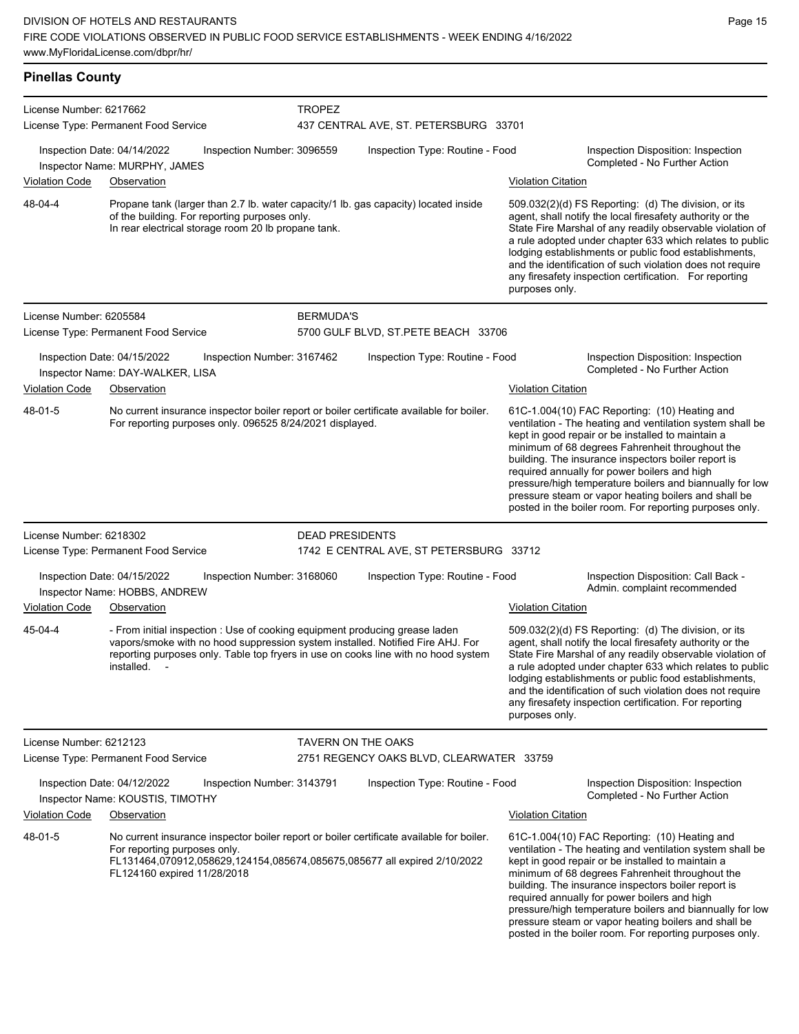**Pinellas County** License Number: 6217662 License Type: Permanent Food Service **TROPEZ** 437 CENTRAL AVE, ST. PETERSBURG 33701 Inspection Date: 04/14/2022 Inspection Number: 3096559 Inspection Type: Routine - Food Inspection Disposition: Inspection Completed - No Further Action Inspector Name: MURPHY, JAMES Violation Code Observation Violation Citation Propane tank (larger than 2.7 lb. water capacity/1 lb. gas capacity) located inside of the building. For reporting purposes only. In rear electrical storage room 20 lb propane tank. 509.032(2)(d) FS Reporting: (d) The division, or its agent, shall notify the local firesafety authority or the State Fire Marshal of any readily observable violation of a rule adopted under chapter 633 which relates to public lodging establishments or public food establishments, and the identification of such violation does not require any firesafety inspection certification. For reporting purposes only. 48-04-4 License Number: 6205584 License Type: Permanent Food Service BERMUDA'S 5700 GULF BLVD, ST.PETE BEACH 33706 Inspection Date: 04/15/2022 Inspection Number: 3167462 Inspection Type: Routine - Food Inspection Disposition: Inspection Inspector Name: DAY-WALKER, LISA and the completed - No Further Action inspector Name: DAY-WALKER, LISA Violation Code Observation **Violation Citation** Violation Citation Citation No current insurance inspector boiler report or boiler certificate available for boiler. For reporting purposes only. 096525 8/24/2021 displayed. 61C-1.004(10) FAC Reporting: (10) Heating and ventilation - The heating and ventilation system shall be kept in good repair or be installed to maintain a minimum of 68 degrees Fahrenheit throughout the building. The insurance inspectors boiler report is required annually for power boilers and high pressure/high temperature boilers and biannually for low pressure steam or vapor heating boilers and shall be posted in the boiler room. For reporting purposes only. 48-01-5 License Number: 6218302 License Type: Permanent Food Service DEAD PRESIDENTS 1742 E CENTRAL AVE, ST PETERSBURG 33712 Inspection Date: 04/15/2022 Inspection Number: 3168060 Inspection Type: Routine - Food Inspection Disposition: Call Back -Inspector Name: HOBBS, ANDREW **Inspector Name: HOBBS, ANDREW** Violation Code Observation Violation Citation - From initial inspection : Use of cooking equipment producing grease laden vapors/smoke with no hood suppression system installed. Notified Fire AHJ. For reporting purposes only. Table top fryers in use on cooks line with no hood system installed. 509.032(2)(d) FS Reporting: (d) The division, or its agent, shall notify the local firesafety authority or the State Fire Marshal of any readily observable violation of a rule adopted under chapter 633 which relates to public lodging establishments or public food establishments, and the identification of such violation does not require any firesafety inspection certification. For reporting purposes only. 45-04-4 License Number: 6212123 License Type: Permanent Food Service TAVERN ON THE OAKS 2751 REGENCY OAKS BLVD, CLEARWATER 33759 Inspection Date: 04/12/2022 Inspection Number: 3143791 Inspection Type: Routine - Food Inspection Disposition: Inspection Inspector Name: KOUSTIS, TIMOTHY **Name: Action** Inspector Name: KOUSTIS, TIMOTHY Violation Code Observation Violation Citation No current insurance inspector boiler report or boiler certificate available for boiler. For reporting purposes only. FL131464,070912,058629,124154,085674,085675,085677 all expired 2/10/2022 FL124160 expired 11/28/2018 61C-1.004(10) FAC Reporting: (10) Heating and ventilation - The heating and ventilation system shall be kept in good repair or be installed to maintain a minimum of 68 degrees Fahrenheit throughout the building. The insurance inspectors boiler report is 48-01-5

required annually for power boilers and high

pressure/high temperature boilers and biannually for low pressure steam or vapor heating boilers and shall be posted in the boiler room. For reporting purposes only.

Page 15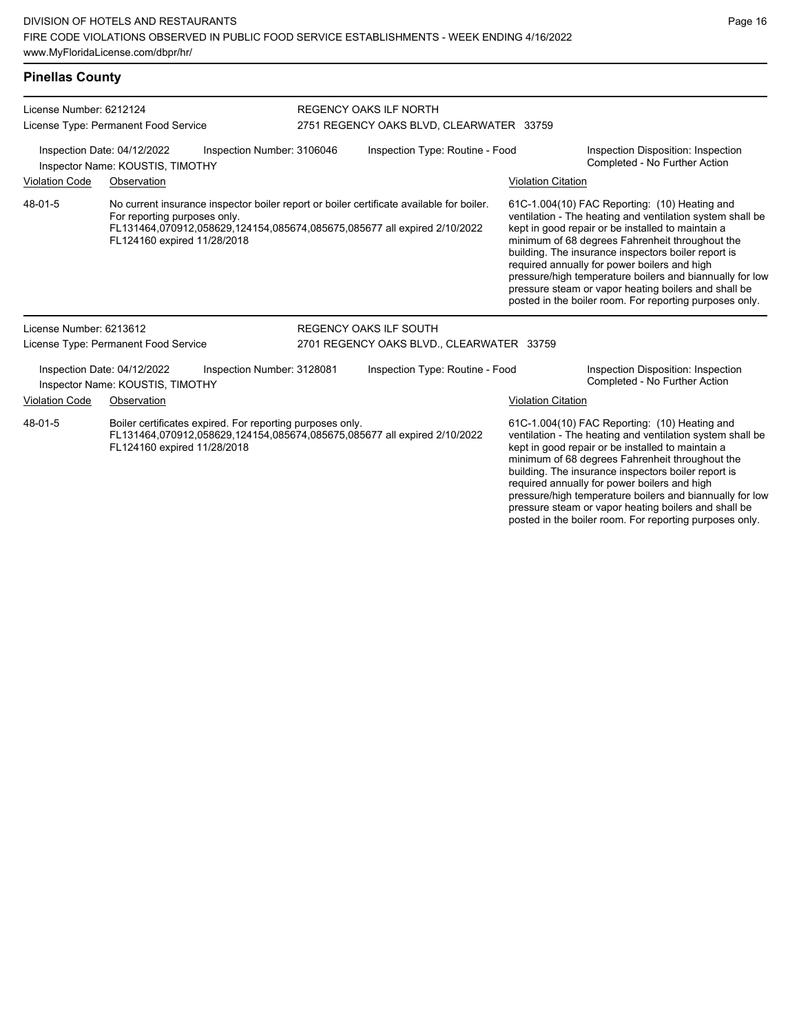## **Pinellas County**

| License Number: 6212124<br>License Type: Permanent Food Service<br>Inspection Date: 04/12/2022<br>Inspection Number: 3106046<br>Inspector Name: KOUSTIS, TIMOTHY |                                                                 |                                                           | <b>REGENCY OAKS ILF NORTH</b><br>2751 REGENCY OAKS BLVD, CLEARWATER 33759                                                                                            |                           |                                                                                                                                                                                                                                                                                                                                                                                                                                                                                                          |  |  |
|------------------------------------------------------------------------------------------------------------------------------------------------------------------|-----------------------------------------------------------------|-----------------------------------------------------------|----------------------------------------------------------------------------------------------------------------------------------------------------------------------|---------------------------|----------------------------------------------------------------------------------------------------------------------------------------------------------------------------------------------------------------------------------------------------------------------------------------------------------------------------------------------------------------------------------------------------------------------------------------------------------------------------------------------------------|--|--|
|                                                                                                                                                                  |                                                                 |                                                           | Inspection Type: Routine - Food                                                                                                                                      |                           | Inspection Disposition: Inspection<br>Completed - No Further Action                                                                                                                                                                                                                                                                                                                                                                                                                                      |  |  |
| <b>Violation Code</b>                                                                                                                                            | Observation                                                     |                                                           |                                                                                                                                                                      | <b>Violation Citation</b> |                                                                                                                                                                                                                                                                                                                                                                                                                                                                                                          |  |  |
| 48-01-5                                                                                                                                                          | For reporting purposes only.<br>FL124160 expired 11/28/2018     |                                                           | No current insurance inspector boiler report or boiler certificate available for boiler.<br>FL131464,070912,058629,124154,085674,085675,085677 all expired 2/10/2022 |                           | 61C-1.004(10) FAC Reporting: (10) Heating and<br>ventilation - The heating and ventilation system shall be<br>kept in good repair or be installed to maintain a<br>minimum of 68 degrees Fahrenheit throughout the<br>building. The insurance inspectors boiler report is<br>required annually for power boilers and high<br>pressure/high temperature boilers and biannually for low<br>pressure steam or vapor heating boilers and shall be<br>posted in the boiler room. For reporting purposes only. |  |  |
| License Number: 6213612                                                                                                                                          |                                                                 |                                                           | <b>REGENCY OAKS ILF SOUTH</b>                                                                                                                                        |                           |                                                                                                                                                                                                                                                                                                                                                                                                                                                                                                          |  |  |
|                                                                                                                                                                  | License Type: Permanent Food Service                            |                                                           | 2701 REGENCY OAKS BLVD., CLEARWATER 33759                                                                                                                            |                           |                                                                                                                                                                                                                                                                                                                                                                                                                                                                                                          |  |  |
|                                                                                                                                                                  | Inspection Date: 04/12/2022<br>Inspector Name: KOUSTIS, TIMOTHY | Inspection Number: 3128081                                | Inspection Type: Routine - Food                                                                                                                                      |                           | Inspection Disposition: Inspection<br>Completed - No Further Action                                                                                                                                                                                                                                                                                                                                                                                                                                      |  |  |
| <b>Violation Code</b>                                                                                                                                            | Observation                                                     |                                                           |                                                                                                                                                                      | <b>Violation Citation</b> |                                                                                                                                                                                                                                                                                                                                                                                                                                                                                                          |  |  |
| 48-01-5                                                                                                                                                          | FL124160 expired 11/28/2018                                     | Boiler certificates expired. For reporting purposes only. | FL131464,070912,058629,124154,085674,085675,085677 all expired 2/10/2022                                                                                             |                           | 61C-1.004(10) FAC Reporting: (10) Heating and<br>ventilation - The heating and ventilation system shall be<br>kept in good repair or be installed to maintain a<br>minimum of 68 degrees Fahrenheit throughout the<br>building. The insurance inspectors boiler report is<br>required annually for power boilers and high<br>pressure/high temperature boilers and biannually for low<br>pressure steam or vapor heating boilers and shall be                                                            |  |  |

posted in the boiler room. For reporting purposes only.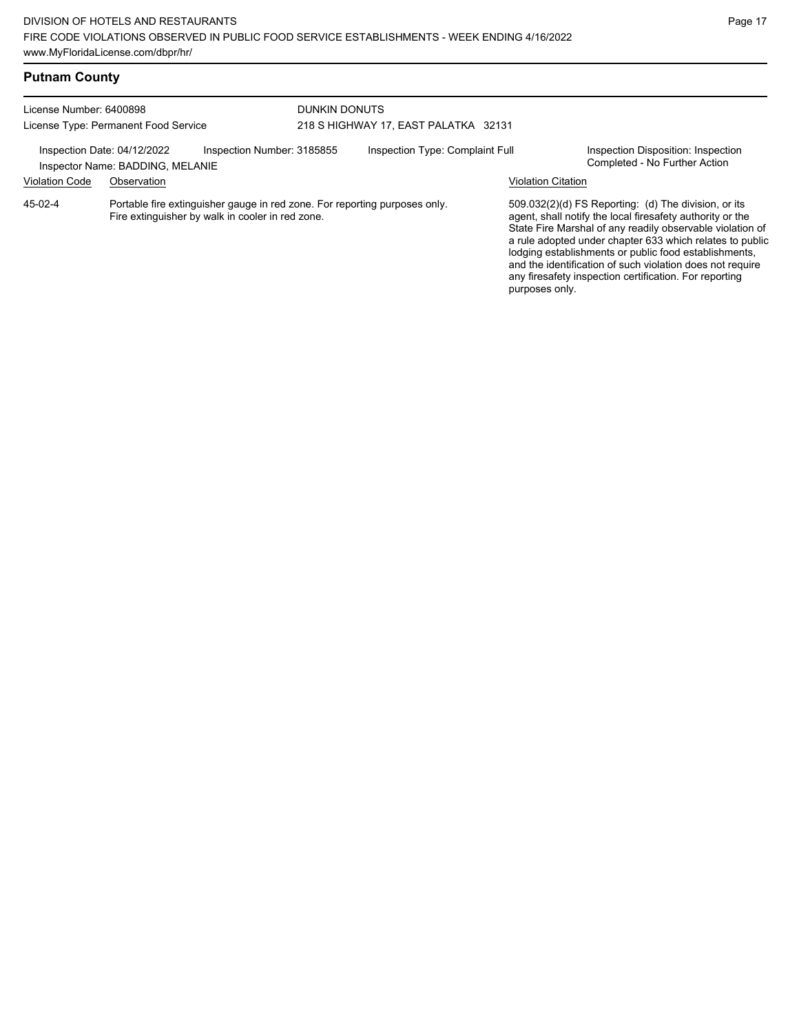## **Putnam County**

| License Number: 6400898<br>License Type: Permanent Food Service<br>Inspection Date: 04/12/2022<br>Inspection Number: 3185855<br>Inspector Name: BADDING, MELANIE |             |                                                                                                                                | <b>DUNKIN DONUTS</b><br>218 S HIGHWAY 17, EAST PALATKA 32131 |  |                           |                                                                                                                                                                                                                                                                                                                                                                                                                            |
|------------------------------------------------------------------------------------------------------------------------------------------------------------------|-------------|--------------------------------------------------------------------------------------------------------------------------------|--------------------------------------------------------------|--|---------------------------|----------------------------------------------------------------------------------------------------------------------------------------------------------------------------------------------------------------------------------------------------------------------------------------------------------------------------------------------------------------------------------------------------------------------------|
|                                                                                                                                                                  |             |                                                                                                                                | Inspection Type: Complaint Full                              |  |                           | Inspection Disposition: Inspection<br>Completed - No Further Action                                                                                                                                                                                                                                                                                                                                                        |
| <b>Violation Code</b>                                                                                                                                            | Observation |                                                                                                                                |                                                              |  | <b>Violation Citation</b> |                                                                                                                                                                                                                                                                                                                                                                                                                            |
| 45-02-4                                                                                                                                                          |             | Portable fire extinguisher gauge in red zone. For reporting purposes only.<br>Fire extinguisher by walk in cooler in red zone. |                                                              |  | purposes only.            | 509.032(2)(d) FS Reporting: (d) The division, or its<br>agent, shall notify the local firesafety authority or the<br>State Fire Marshal of any readily observable violation of<br>a rule adopted under chapter 633 which relates to public<br>lodging establishments or public food establishments,<br>and the identification of such violation does not require<br>any firesafety inspection certification. For reporting |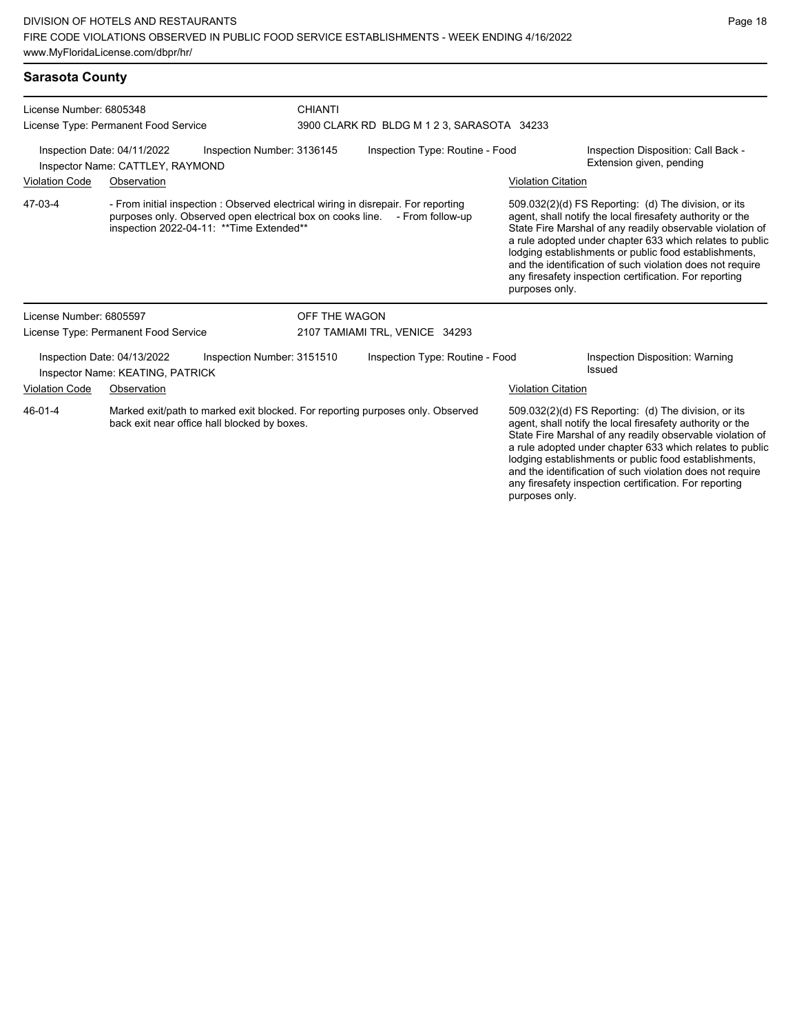| <b>Sarasota County</b>                                                                        |                                                                                                                                                                                                               |                            |                                |                                                                                                                                                                                                                                                                                                                                                                                                                                              |                           |                                                                 |  |  |
|-----------------------------------------------------------------------------------------------|---------------------------------------------------------------------------------------------------------------------------------------------------------------------------------------------------------------|----------------------------|--------------------------------|----------------------------------------------------------------------------------------------------------------------------------------------------------------------------------------------------------------------------------------------------------------------------------------------------------------------------------------------------------------------------------------------------------------------------------------------|---------------------------|-----------------------------------------------------------------|--|--|
| License Number: 6805348                                                                       |                                                                                                                                                                                                               |                            | <b>CHIANTI</b>                 |                                                                                                                                                                                                                                                                                                                                                                                                                                              |                           |                                                                 |  |  |
|                                                                                               | License Type: Permanent Food Service                                                                                                                                                                          |                            |                                | 3900 CLARK RD BLDG M 1 2 3, SARASOTA 34233                                                                                                                                                                                                                                                                                                                                                                                                   |                           |                                                                 |  |  |
| Inspection Number: 3136145<br>Inspection Date: 04/11/2022<br>Inspector Name: CATTLEY, RAYMOND |                                                                                                                                                                                                               |                            |                                | Inspection Type: Routine - Food                                                                                                                                                                                                                                                                                                                                                                                                              |                           | Inspection Disposition: Call Back -<br>Extension given, pending |  |  |
| <b>Violation Code</b><br>Observation                                                          |                                                                                                                                                                                                               |                            |                                |                                                                                                                                                                                                                                                                                                                                                                                                                                              | <b>Violation Citation</b> |                                                                 |  |  |
| 47-03-4                                                                                       | - From initial inspection : Observed electrical wiring in disrepair. For reporting<br>purposes only. Observed open electrical box on cooks line. - From follow-up<br>inspection 2022-04-11: **Time Extended** |                            |                                | 509.032(2)(d) FS Reporting: (d) The division, or its<br>agent, shall notify the local firesafety authority or the<br>State Fire Marshal of any readily observable violation of<br>a rule adopted under chapter 633 which relates to public<br>lodging establishments or public food establishments,<br>and the identification of such violation does not require<br>any firesafety inspection certification. For reporting<br>purposes only. |                           |                                                                 |  |  |
| License Number: 6805597                                                                       |                                                                                                                                                                                                               |                            | OFF THE WAGON                  |                                                                                                                                                                                                                                                                                                                                                                                                                                              |                           |                                                                 |  |  |
| License Type: Permanent Food Service                                                          |                                                                                                                                                                                                               |                            | 2107 TAMIAMI TRL, VENICE 34293 |                                                                                                                                                                                                                                                                                                                                                                                                                                              |                           |                                                                 |  |  |
|                                                                                               | Inspection Date: 04/13/2022<br>Inspector Name: KEATING, PATRICK                                                                                                                                               | Inspection Number: 3151510 |                                | Inspection Type: Routine - Food                                                                                                                                                                                                                                                                                                                                                                                                              |                           | Inspection Disposition: Warning<br>Issued                       |  |  |
| Violation Code                                                                                | Observation                                                                                                                                                                                                   |                            |                                |                                                                                                                                                                                                                                                                                                                                                                                                                                              | <b>Violation Citation</b> |                                                                 |  |  |
| $A$ $6$ - $0$ $1$ - $A$                                                                       |                                                                                                                                                                                                               |                            |                                | Marked exiting the marked exit blocked. For reporting purposes only Observed                                                                                                                                                                                                                                                                                                                                                                 |                           | 500 032(2)(d) ES Reporting: (d) The division or its             |  |  |

Marked exit/path to marked exit blocked. For reporting purposes only. Observed back exit near office hall blocked by boxes. 46-01-4

509.032(2)(d) FS Reporting: (d) The division, or its agent, shall notify the local firesafety authority or the State Fire Marshal of any readily observable violation of a rule adopted under chapter 633 which relates to public lodging establishments or public food establishments, and the identification of such violation does not require any firesafety inspection certification. For reporting purposes only.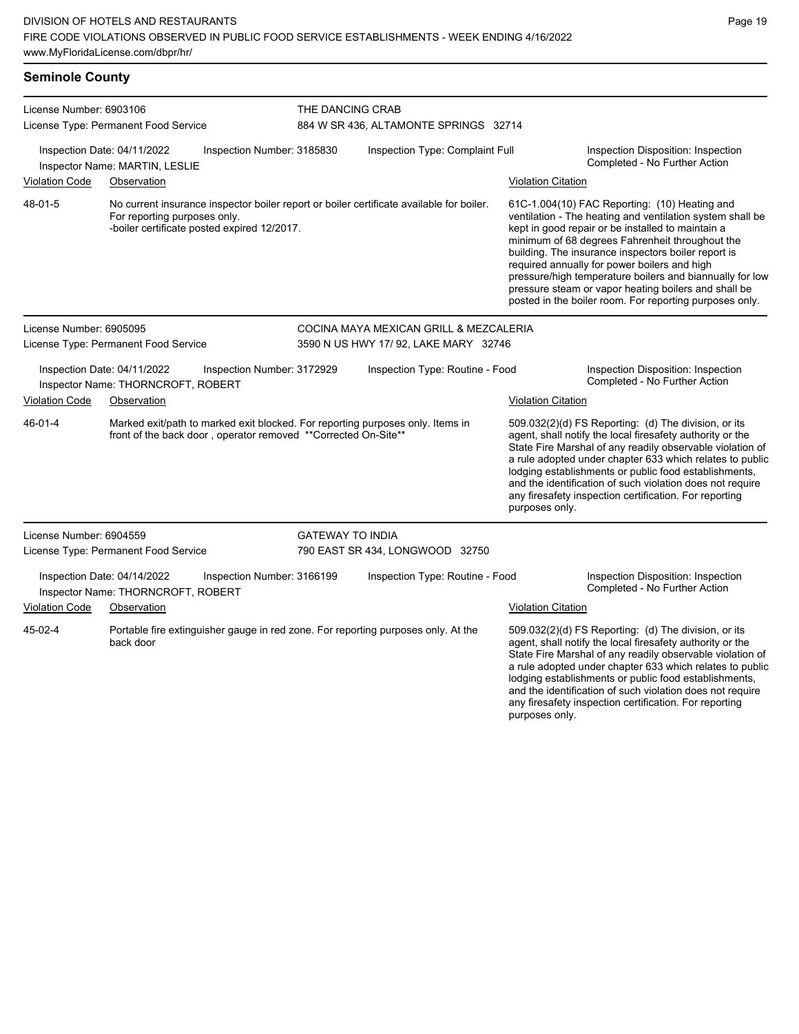| <b>Seminole County</b>                                                                          |                                      |                                                                |                                                                                          |                                                                                   |                                                                                                                                                                                                                                                                                                                                                                                                                                                                                                          |                                                                                                                                                                                                                                                                                                                                                                                                                            |  |  |
|-------------------------------------------------------------------------------------------------|--------------------------------------|----------------------------------------------------------------|------------------------------------------------------------------------------------------|-----------------------------------------------------------------------------------|----------------------------------------------------------------------------------------------------------------------------------------------------------------------------------------------------------------------------------------------------------------------------------------------------------------------------------------------------------------------------------------------------------------------------------------------------------------------------------------------------------|----------------------------------------------------------------------------------------------------------------------------------------------------------------------------------------------------------------------------------------------------------------------------------------------------------------------------------------------------------------------------------------------------------------------------|--|--|
| License Number: 6903106                                                                         | License Type: Permanent Food Service |                                                                |                                                                                          | THE DANCING CRAB<br>884 W SR 436, ALTAMONTE SPRINGS 32714                         |                                                                                                                                                                                                                                                                                                                                                                                                                                                                                                          |                                                                                                                                                                                                                                                                                                                                                                                                                            |  |  |
| Inspection Date: 04/11/2022<br>Inspection Number: 3185830<br>Inspector Name: MARTIN, LESLIE     |                                      |                                                                | Inspection Type: Complaint Full                                                          |                                                                                   |                                                                                                                                                                                                                                                                                                                                                                                                                                                                                                          | Inspection Disposition: Inspection<br>Completed - No Further Action                                                                                                                                                                                                                                                                                                                                                        |  |  |
| <b>Violation Code</b>                                                                           | Observation                          |                                                                |                                                                                          |                                                                                   | <b>Violation Citation</b>                                                                                                                                                                                                                                                                                                                                                                                                                                                                                |                                                                                                                                                                                                                                                                                                                                                                                                                            |  |  |
| 48-01-5                                                                                         | For reporting purposes only.         | -boiler certificate posted expired 12/2017.                    | No current insurance inspector boiler report or boiler certificate available for boiler. |                                                                                   | 61C-1.004(10) FAC Reporting: (10) Heating and<br>ventilation - The heating and ventilation system shall be<br>kept in good repair or be installed to maintain a<br>minimum of 68 degrees Fahrenheit throughout the<br>building. The insurance inspectors boiler report is<br>required annually for power boilers and high<br>pressure/high temperature boilers and biannually for low<br>pressure steam or vapor heating boilers and shall be<br>posted in the boiler room. For reporting purposes only. |                                                                                                                                                                                                                                                                                                                                                                                                                            |  |  |
| License Number: 6905095<br>License Type: Permanent Food Service                                 |                                      |                                                                |                                                                                          | COCINA MAYA MEXICAN GRILL & MEZCALERIA<br>3590 N US HWY 17/ 92, LAKE MARY 32746   |                                                                                                                                                                                                                                                                                                                                                                                                                                                                                                          |                                                                                                                                                                                                                                                                                                                                                                                                                            |  |  |
|                                                                                                 |                                      |                                                                |                                                                                          |                                                                                   |                                                                                                                                                                                                                                                                                                                                                                                                                                                                                                          |                                                                                                                                                                                                                                                                                                                                                                                                                            |  |  |
| Inspection Date: 04/11/2022<br>Inspection Number: 3172929<br>Inspector Name: THORNCROFT, ROBERT |                                      | Inspection Type: Routine - Food                                |                                                                                          |                                                                                   | Inspection Disposition: Inspection<br>Completed - No Further Action                                                                                                                                                                                                                                                                                                                                                                                                                                      |                                                                                                                                                                                                                                                                                                                                                                                                                            |  |  |
| <b>Violation Code</b>                                                                           | Observation                          |                                                                |                                                                                          |                                                                                   | <b>Violation Citation</b>                                                                                                                                                                                                                                                                                                                                                                                                                                                                                |                                                                                                                                                                                                                                                                                                                                                                                                                            |  |  |
| 46-01-4                                                                                         |                                      | front of the back door, operator removed **Corrected On-Site** |                                                                                          | Marked exit/path to marked exit blocked. For reporting purposes only. Items in    | purposes only.                                                                                                                                                                                                                                                                                                                                                                                                                                                                                           | 509.032(2)(d) FS Reporting: (d) The division, or its<br>agent, shall notify the local firesafety authority or the<br>State Fire Marshal of any readily observable violation of<br>a rule adopted under chapter 633 which relates to public<br>lodging establishments or public food establishments,<br>and the identification of such violation does not require<br>any firesafety inspection certification. For reporting |  |  |
| License Number: 6904559                                                                         |                                      |                                                                | <b>GATEWAY TO INDIA</b>                                                                  |                                                                                   |                                                                                                                                                                                                                                                                                                                                                                                                                                                                                                          |                                                                                                                                                                                                                                                                                                                                                                                                                            |  |  |
| License Type: Permanent Food Service                                                            |                                      |                                                                |                                                                                          | 790 EAST SR 434, LONGWOOD 32750                                                   |                                                                                                                                                                                                                                                                                                                                                                                                                                                                                                          |                                                                                                                                                                                                                                                                                                                                                                                                                            |  |  |
| Inspection Date: 04/14/2022<br>Inspection Number: 3166199<br>Inspector Name: THORNCROFT, ROBERT |                                      |                                                                |                                                                                          | Inspection Type: Routine - Food                                                   |                                                                                                                                                                                                                                                                                                                                                                                                                                                                                                          | Inspection Disposition: Inspection<br>Completed - No Further Action                                                                                                                                                                                                                                                                                                                                                        |  |  |
| <b>Violation Code</b><br>Observation                                                            |                                      |                                                                |                                                                                          | <b>Violation Citation</b>                                                         |                                                                                                                                                                                                                                                                                                                                                                                                                                                                                                          |                                                                                                                                                                                                                                                                                                                                                                                                                            |  |  |
| 45-02-4                                                                                         | back door                            |                                                                |                                                                                          | Portable fire extinguisher gauge in red zone. For reporting purposes only. At the |                                                                                                                                                                                                                                                                                                                                                                                                                                                                                                          | 509.032(2)(d) FS Reporting: (d) The division, or its<br>agent, shall notify the local firesafety authority or the<br>State Fire Marshal of any readily observable violation of<br>a rule adopted under chapter 633 which relates to public<br>lodging establishments or public food establishments,                                                                                                                        |  |  |

and the identification of such violation does not require any firesafety inspection certification. For reporting